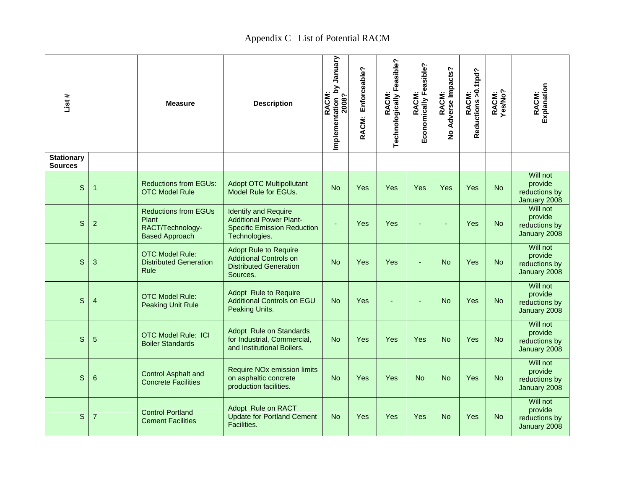## Appendix C List of Potential RACM

| List #                              |                 | <b>Measure</b>                                                                    | <b>Description</b>                                                                                                   | Implementation by January<br>2008?<br>RACM: | Enforceable?<br>RACM: | Technologically Feasible?<br>RACM: | Economically Feasible?<br>RACM: | Adverse Impacts?<br>RACM:<br>$\overline{\mathbf{z}}$ | Reductions >0.1tpd?<br>RACM: | RACM:<br>Yes/No? | Explanation<br>RACM:                                 |
|-------------------------------------|-----------------|-----------------------------------------------------------------------------------|----------------------------------------------------------------------------------------------------------------------|---------------------------------------------|-----------------------|------------------------------------|---------------------------------|------------------------------------------------------|------------------------------|------------------|------------------------------------------------------|
| <b>Stationary</b><br><b>Sources</b> |                 |                                                                                   |                                                                                                                      |                                             |                       |                                    |                                 |                                                      |                              |                  |                                                      |
| $\mathsf{s}$                        | 1               | <b>Reductions from EGUs:</b><br><b>OTC Model Rule</b>                             | <b>Adopt OTC Multipollutant</b><br>Model Rule for EGUs.                                                              | <b>No</b>                                   | Yes                   | Yes                                | Yes                             | Yes                                                  | Yes                          | <b>No</b>        | Will not<br>provide<br>reductions by<br>January 2008 |
| $\mathsf{S}$                        | $\overline{2}$  | <b>Reductions from EGUs</b><br>Plant<br>RACT/Technology-<br><b>Based Approach</b> | <b>Identify and Require</b><br><b>Additional Power Plant-</b><br><b>Specific Emission Reduction</b><br>Technologies. | ÷                                           | Yes                   | Yes                                |                                 |                                                      | Yes                          | <b>No</b>        | Will not<br>provide<br>reductions by<br>January 2008 |
| $\mathbf S$                         | 3               | <b>OTC Model Rule:</b><br><b>Distributed Generation</b><br>Rule                   | <b>Adopt Rule to Require</b><br><b>Additional Controls on</b><br><b>Distributed Generation</b><br>Sources.           | <b>No</b>                                   | Yes                   | Yes                                |                                 | <b>No</b>                                            | Yes                          | <b>No</b>        | Will not<br>provide<br>reductions by<br>January 2008 |
| $\mathsf{s}$                        | $\overline{4}$  | <b>OTC Model Rule:</b><br><b>Peaking Unit Rule</b>                                | Adopt Rule to Require<br><b>Additional Controls on EGU</b><br>Peaking Units.                                         | <b>No</b>                                   | Yes                   |                                    |                                 | <b>No</b>                                            | Yes                          | <b>No</b>        | Will not<br>provide<br>reductions by<br>January 2008 |
| $\mathbb S$                         | 5               | <b>OTC Model Rule: ICI</b><br><b>Boiler Standards</b>                             | <b>Adopt Rule on Standards</b><br>for Industrial, Commercial,<br>and Institutional Boilers.                          | <b>No</b>                                   | Yes                   | Yes                                | Yes                             | <b>No</b>                                            | Yes                          | <b>No</b>        | Will not<br>provide<br>reductions by<br>January 2008 |
| S                                   | $6\phantom{1}6$ | <b>Control Asphalt and</b><br><b>Concrete Facilities</b>                          | <b>Require NOx emission limits</b><br>on asphaltic concrete<br>production facilities.                                | <b>No</b>                                   | Yes                   | Yes                                | <b>No</b>                       | <b>No</b>                                            | Yes                          | <b>No</b>        | Will not<br>provide<br>reductions by<br>January 2008 |
| $\mathbb S$                         | $\overline{7}$  | <b>Control Portland</b><br><b>Cement Facilities</b>                               | Adopt Rule on RACT<br><b>Update for Portland Cement</b><br><b>Facilities.</b>                                        | <b>No</b>                                   | Yes                   | Yes                                | Yes                             | <b>No</b>                                            | Yes                          | <b>No</b>        | Will not<br>provide<br>reductions by<br>January 2008 |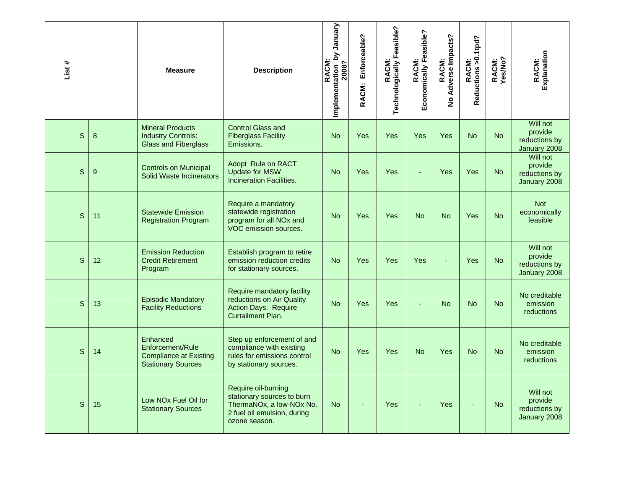| List #       |                 | <b>Measure</b>                                                                             | <b>Description</b>                                                                                                            | Implementation_by January<br>2008?<br>RACM: | Enforceable?<br>RACM: | RACM:<br>Technologically Feasible? | Economically Feasible?<br><b>RACM</b> | Adverse Impacts?<br>RACM:<br>$\overline{2}$ | RACM:<br>Reductions >0.1tpd? | RACM:<br>Yes/No? | Explanation<br>RACM:                                 |
|--------------|-----------------|--------------------------------------------------------------------------------------------|-------------------------------------------------------------------------------------------------------------------------------|---------------------------------------------|-----------------------|------------------------------------|---------------------------------------|---------------------------------------------|------------------------------|------------------|------------------------------------------------------|
| S            | 8               | <b>Mineral Products</b><br><b>Industry Controls:</b><br><b>Glass and Fiberglass</b>        | <b>Control Glass and</b><br><b>Fiberglass Facility</b><br>Emissions.                                                          | <b>No</b>                                   | <b>Yes</b>            | Yes                                | Yes                                   | Yes                                         | <b>No</b>                    | <b>No</b>        | Will not<br>provide<br>reductions by<br>January 2008 |
| $\mathbf S$  | $9\,$           | <b>Controls on Municipal</b><br>Solid Waste Incinerators                                   | Adopt Rule on RACT<br><b>Update for MSW</b><br><b>Incineration Facilities.</b>                                                | <b>No</b>                                   | <b>Yes</b>            | Yes                                |                                       | Yes                                         | Yes                          | <b>No</b>        | Will not<br>provide<br>reductions by<br>January 2008 |
| S            | 11              | <b>Statewide Emission</b><br><b>Registration Program</b>                                   | Require a mandatory<br>statewide registration<br>program for all NO <sub>x</sub> and<br>VOC emission sources.                 | <b>No</b>                                   | <b>Yes</b>            | Yes                                | <b>No</b>                             | <b>No</b>                                   | Yes                          | <b>No</b>        | <b>Not</b><br>economically<br>feasible               |
| S            | 12 <sup>2</sup> | <b>Emission Reduction</b><br><b>Credit Retirement</b><br>Program                           | Establish program to retire<br>emission reduction credits<br>for stationary sources.                                          | <b>No</b>                                   | <b>Yes</b>            | Yes                                | Yes                                   | ä,                                          | Yes                          | <b>No</b>        | Will not<br>provide<br>reductions by<br>January 2008 |
| S            | 13              | <b>Episodic Mandatory</b><br><b>Facility Reductions</b>                                    | Require mandatory facility<br>reductions on Air Quality<br><b>Action Days. Require</b><br>Curtailment Plan.                   | <b>No</b>                                   | <b>Yes</b>            | Yes                                |                                       | <b>No</b>                                   | <b>No</b>                    | <b>No</b>        | No creditable<br>emission<br>reductions              |
| $\mathsf{S}$ | 14              | Enhanced<br>Enforcement/Rule<br><b>Compliance at Existing</b><br><b>Stationary Sources</b> | Step up enforcement of and<br>compliance with existing<br>rules for emissions control<br>by stationary sources.               | <b>No</b>                                   | <b>Yes</b>            | Yes                                | <b>No</b>                             | Yes                                         | <b>No</b>                    | <b>No</b>        | No creditable<br>emission<br>reductions              |
| $\mathsf{S}$ | 15              | Low NO <sub>x</sub> Fuel Oil for<br><b>Stationary Sources</b>                              | Require oil-burning<br>stationary sources to burn<br>ThermaNOx, a low-NOx No.<br>2 fuel oil emulsion, during<br>ozone season. | <b>No</b>                                   |                       | Yes                                |                                       | Yes                                         |                              | <b>No</b>        | Will not<br>provide<br>reductions by<br>January 2008 |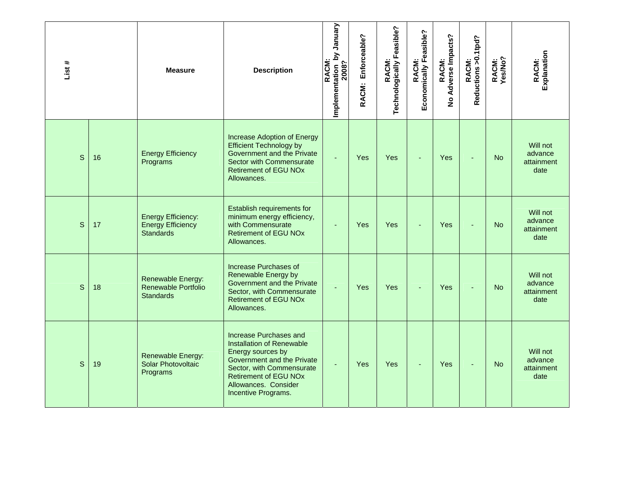| List #       |    | <b>Measure</b>                                                            | <b>Description</b>                                                                                                                                                                                                        | Implementation_by January<br>2008?<br>RACM: | Enforceable?<br>RACM: | RACM:<br>Technologically Feasible? | Economically Feasible?<br>RACM: | Adverse Impacts?<br>RACM:<br>$\frac{9}{2}$ | Reductions > 0.1tpd?<br>RACM: | RACM:<br>Yes/No? | Explanation<br>RACM:                      |
|--------------|----|---------------------------------------------------------------------------|---------------------------------------------------------------------------------------------------------------------------------------------------------------------------------------------------------------------------|---------------------------------------------|-----------------------|------------------------------------|---------------------------------|--------------------------------------------|-------------------------------|------------------|-------------------------------------------|
| S            | 16 | <b>Energy Efficiency</b><br>Programs                                      | Increase Adoption of Energy<br><b>Efficient Technology by</b><br>Government and the Private<br>Sector with Commensurate<br><b>Retirement of EGU NOx</b><br>Allowances.                                                    | ä,                                          | Yes                   | Yes                                | ÷                               | Yes                                        | $\overline{\phantom{a}}$      | <b>No</b>        | Will not<br>advance<br>attainment<br>date |
| S            | 17 | <b>Energy Efficiency:</b><br><b>Energy Efficiency</b><br><b>Standards</b> | Establish requirements for<br>minimum energy efficiency,<br>with Commensurate<br><b>Retirement of EGU NOx</b><br>Allowances.                                                                                              | $\blacksquare$                              | Yes                   | <b>Yes</b>                         | ÷                               | Yes                                        |                               | <b>No</b>        | Will not<br>advance<br>attainment<br>date |
| $\mathsf{S}$ | 18 | Renewable Energy:<br>Renewable Portfolio<br><b>Standards</b>              | <b>Increase Purchases of</b><br>Renewable Energy by<br><b>Government and the Private</b><br>Sector, with Commensurate<br><b>Retirement of EGU NOx</b><br>Allowances.                                                      | ä,                                          | Yes                   | <b>Yes</b>                         | ÷                               | Yes                                        |                               | <b>No</b>        | Will not<br>advance<br>attainment<br>date |
| S            | 19 | Renewable Energy:<br>Solar Photovoltaic<br>Programs                       | Increase Purchases and<br><b>Installation of Renewable</b><br>Energy sources by<br>Government and the Private<br>Sector, with Commensurate<br><b>Retirement of EGU NOx</b><br>Allowances. Consider<br>Incentive Programs. | ÷.                                          | Yes                   | Yes                                | ä,                              | Yes                                        | $\overline{a}$                | <b>No</b>        | Will not<br>advance<br>attainment<br>date |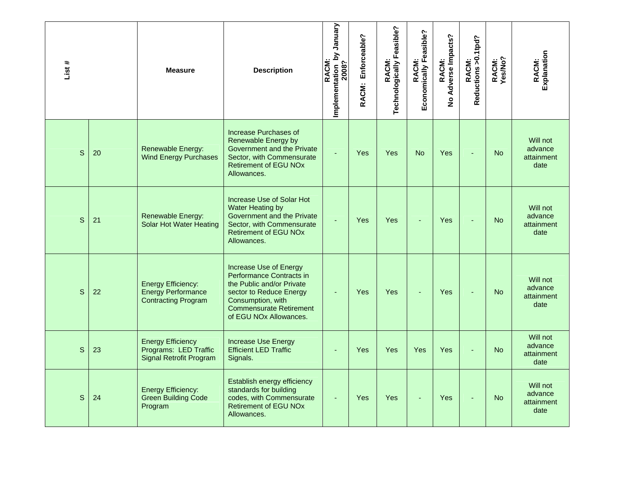| List #       |    | <b>Measure</b>                                                                       | <b>Description</b>                                                                                                                                                                                      | Implementation by January<br>2008?<br><b>RACM</b> | Enforceable?<br>RACM: | RACM:<br>Technologically Feasible? | Economically Feasible?<br>RACM: | RACM:<br>Adverse Impacts?<br>$\frac{9}{2}$ | RACM:<br>Reductions >0.1tpd? | RACM:<br>Yes/No? | Explanation<br>RACM:                      |
|--------------|----|--------------------------------------------------------------------------------------|---------------------------------------------------------------------------------------------------------------------------------------------------------------------------------------------------------|---------------------------------------------------|-----------------------|------------------------------------|---------------------------------|--------------------------------------------|------------------------------|------------------|-------------------------------------------|
| S            | 20 | <b>Renewable Energy:</b><br><b>Wind Energy Purchases</b>                             | Increase Purchases of<br>Renewable Energy by<br>Government and the Private<br>Sector, with Commensurate<br><b>Retirement of EGU NOx</b><br>Allowances.                                                  | L.                                                | Yes                   | Yes                                | <b>No</b>                       | Yes                                        |                              | <b>No</b>        | Will not<br>advance<br>attainment<br>date |
| $\mathsf{S}$ | 21 | Renewable Energy:<br><b>Solar Hot Water Heating</b>                                  | Increase Use of Solar Hot<br>Water Heating by<br>Government and the Private<br>Sector, with Commensurate<br><b>Retirement of EGU NOx</b><br>Allowances.                                                 | L.                                                | Yes                   | Yes                                |                                 | Yes                                        |                              | <b>No</b>        | Will not<br>advance<br>attainment<br>date |
| S            | 22 | <b>Energy Efficiency:</b><br><b>Energy Performance</b><br><b>Contracting Program</b> | Increase Use of Energy<br>Performance Contracts in<br>the Public and/or Private<br>sector to Reduce Energy<br>Consumption, with<br><b>Commensurate Retirement</b><br>of EGU NO <sub>x</sub> Allowances. |                                                   | Yes                   | Yes                                |                                 | Yes                                        |                              | <b>No</b>        | Will not<br>advance<br>attainment<br>date |
| $\mathsf{S}$ | 23 | <b>Energy Efficiency</b><br>Programs: LED Traffic<br><b>Signal Retrofit Program</b>  | <b>Increase Use Energy</b><br><b>Efficient LED Traffic</b><br>Signals.                                                                                                                                  | ÷                                                 | Yes                   | <b>Yes</b>                         | Yes                             | Yes                                        |                              | <b>No</b>        | Will not<br>advance<br>attainment<br>date |
| S            | 24 | <b>Energy Efficiency:</b><br><b>Green Building Code</b><br>Program                   | Establish energy efficiency<br>standards for building<br>codes, with Commensurate<br><b>Retirement of EGU NOx</b><br>Allowances.                                                                        | ÷.                                                | Yes                   | Yes                                |                                 | Yes                                        |                              | <b>No</b>        | Will not<br>advance<br>attainment<br>date |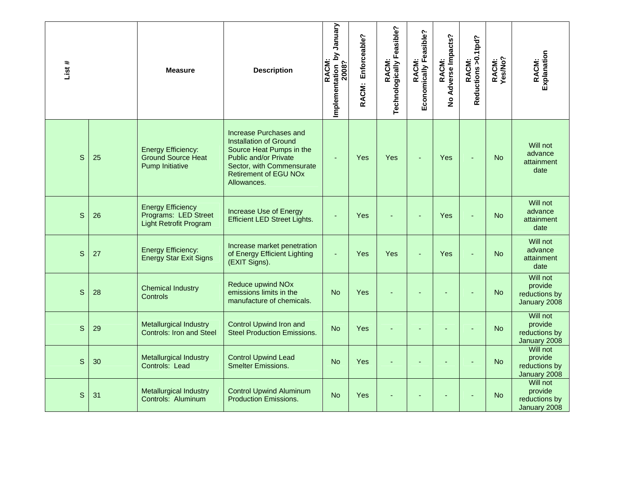| List #       |    | <b>Measure</b>                                                                    | <b>Description</b>                                                                                                                                                                       | January<br>Implementation by<br>2008?<br><b>RACM</b> | Enforceable?<br>RACM: | Technologically Feasible?<br>RACM: | Economically Feasible?<br>RACM: | Adverse Impacts?<br>RACM:<br>$\frac{9}{2}$ | Reductions > 0.1tpd?<br>RACM: | RACM:<br>Yes/No? | Explanation<br>RACM:                                 |
|--------------|----|-----------------------------------------------------------------------------------|------------------------------------------------------------------------------------------------------------------------------------------------------------------------------------------|------------------------------------------------------|-----------------------|------------------------------------|---------------------------------|--------------------------------------------|-------------------------------|------------------|------------------------------------------------------|
| S            | 25 | <b>Energy Efficiency:</b><br><b>Ground Source Heat</b><br><b>Pump Initiative</b>  | Increase Purchases and<br><b>Installation of Ground</b><br>Source Heat Pumps in the<br>Public and/or Private<br>Sector, with Commensurate<br><b>Retirement of EGU NOx</b><br>Allowances. | Ξ                                                    | Yes                   | Yes                                |                                 | Yes                                        |                               | <b>No</b>        | Will not<br>advance<br>attainment<br>date            |
| S            | 26 | <b>Energy Efficiency</b><br>Programs: LED Street<br><b>Light Retrofit Program</b> | Increase Use of Energy<br><b>Efficient LED Street Lights.</b>                                                                                                                            |                                                      | Yes                   |                                    |                                 | Yes                                        |                               | <b>No</b>        | Will not<br>advance<br>attainment<br>date            |
| S            | 27 | <b>Energy Efficiency:</b><br><b>Energy Star Exit Signs</b>                        | Increase market penetration<br>of Energy Efficient Lighting<br>(EXIT Signs).                                                                                                             | ä,                                                   | Yes                   | Yes                                | L,                              | Yes                                        |                               | <b>No</b>        | Will not<br>advance<br>attainment<br>date            |
| S            | 28 | <b>Chemical Industry</b><br><b>Controls</b>                                       | <b>Reduce upwind NOx</b><br>emissions limits in the<br>manufacture of chemicals.                                                                                                         | <b>No</b>                                            | Yes                   |                                    |                                 |                                            |                               | <b>No</b>        | Will not<br>provide<br>reductions by<br>January 2008 |
| $\mathsf{S}$ | 29 | <b>Metallurgical Industry</b><br><b>Controls: Iron and Steel</b>                  | <b>Control Upwind Iron and</b><br><b>Steel Production Emissions.</b>                                                                                                                     | <b>No</b>                                            | Yes                   |                                    |                                 |                                            |                               | <b>No</b>        | Will not<br>provide<br>reductions by<br>January 2008 |
| S            | 30 | Metallurgical Industry<br>Controls: Lead                                          | <b>Control Upwind Lead</b><br><b>Smelter Emissions.</b>                                                                                                                                  | <b>No</b>                                            | Yes                   |                                    |                                 |                                            |                               | <b>No</b>        | Will not<br>provide<br>reductions by<br>January 2008 |
| $\mathsf{S}$ | 31 | <b>Metallurgical Industry</b><br>Controls: Aluminum                               | <b>Control Upwind Aluminum</b><br><b>Production Emissions.</b>                                                                                                                           | <b>No</b>                                            | Yes                   |                                    |                                 |                                            |                               | <b>No</b>        | Will not<br>provide<br>reductions by<br>January 2008 |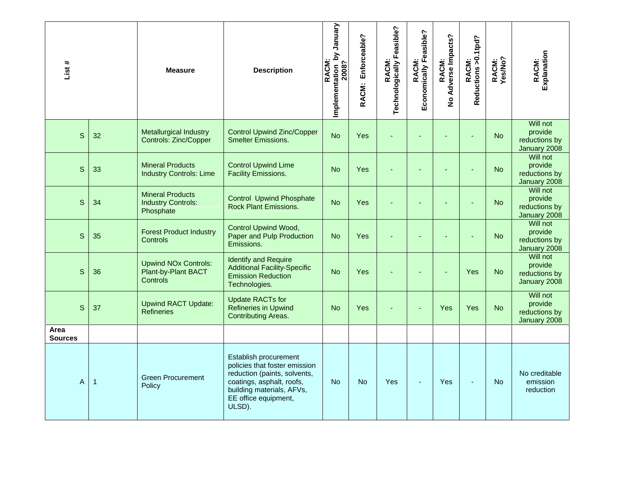| List #                 |    | <b>Measure</b>                                                        | <b>Description</b>                                                                                                                                                                 | Vienuary<br>Implementation by<br>2008?<br><b>RACM</b> | Enforceable?<br>RACM: | RACM:<br>Technologically Feasible? | Economically Feasible?<br><b>RACM</b> | No Adverse Impacts?<br>RACM: | RACM:<br>Reductions >0.1tpd? | RACM:<br>Yes/No? | Explanation<br>RACM:                                 |
|------------------------|----|-----------------------------------------------------------------------|------------------------------------------------------------------------------------------------------------------------------------------------------------------------------------|-------------------------------------------------------|-----------------------|------------------------------------|---------------------------------------|------------------------------|------------------------------|------------------|------------------------------------------------------|
| S                      | 32 | <b>Metallurgical Industry</b><br><b>Controls: Zinc/Copper</b>         | <b>Control Upwind Zinc/Copper</b><br><b>Smelter Emissions.</b>                                                                                                                     | <b>No</b>                                             | <b>Yes</b>            |                                    |                                       |                              |                              | <b>No</b>        | Will not<br>provide<br>reductions by<br>January 2008 |
| S                      | 33 | <b>Mineral Products</b><br><b>Industry Controls: Lime</b>             | <b>Control Upwind Lime</b><br><b>Facility Emissions.</b>                                                                                                                           | <b>No</b>                                             | <b>Yes</b>            |                                    |                                       |                              |                              | <b>No</b>        | Will not<br>provide<br>reductions by<br>January 2008 |
| $\mathsf{S}$           | 34 | <b>Mineral Products</b><br><b>Industry Controls:</b><br>Phosphate     | <b>Control Upwind Phosphate</b><br><b>Rock Plant Emissions.</b>                                                                                                                    | <b>No</b>                                             | <b>Yes</b>            |                                    |                                       |                              |                              | <b>No</b>        | Will not<br>provide<br>reductions by<br>January 2008 |
| S                      | 35 | <b>Forest Product Industry</b><br><b>Controls</b>                     | <b>Control Upwind Wood,</b><br>Paper and Pulp Production<br>Emissions.                                                                                                             | <b>No</b>                                             | Yes                   |                                    |                                       |                              |                              | <b>No</b>        | Will not<br>provide<br>reductions by<br>January 2008 |
| S                      | 36 | <b>Upwind NOx Controls:</b><br>Plant-by-Plant BACT<br><b>Controls</b> | <b>Identify and Require</b><br><b>Additional Facility-Specific</b><br><b>Emission Reduction</b><br>Technologies.                                                                   | <b>No</b>                                             | <b>Yes</b>            |                                    |                                       |                              | Yes                          | <b>No</b>        | Will not<br>provide<br>reductions by<br>January 2008 |
| S                      | 37 | <b>Upwind RACT Update:</b><br><b>Refineries</b>                       | <b>Update RACTs for</b><br><b>Refineries in Upwind</b><br><b>Contributing Areas.</b>                                                                                               | <b>No</b>                                             | <b>Yes</b>            |                                    |                                       | Yes                          | Yes                          | <b>No</b>        | Will not<br>provide<br>reductions by<br>January 2008 |
| Area<br><b>Sources</b> |    |                                                                       |                                                                                                                                                                                    |                                                       |                       |                                    |                                       |                              |                              |                  |                                                      |
| A                      | 1  | <b>Green Procurement</b><br>Policy                                    | Establish procurement<br>policies that foster emission<br>reduction (paints, solvents,<br>coatings, asphalt, roofs,<br>building materials, AFVs,<br>EE office equipment,<br>ULSD). | <b>No</b>                                             | <b>No</b>             | Yes                                |                                       | Yes                          |                              | <b>No</b>        | No creditable<br>emission<br>reduction               |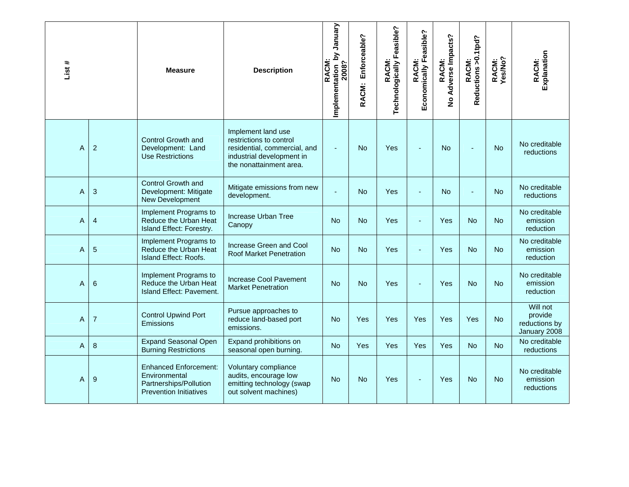| List # |                  | <b>Measure</b>                                                                                           | <b>Description</b>                                                                                                                    | January<br>Implementation by<br>2008?<br>RACM | Enforceable?<br>RACM: | Technologically Feasible?<br>RACM: | Economically Feasible?<br>RACM: | Adverse Impacts?<br>RACM:<br>$\frac{1}{2}$ | Reductions >0.1tpd?<br>RACM: | RACM:<br>Yes/No? | Explanation<br>RACM:                                 |
|--------|------------------|----------------------------------------------------------------------------------------------------------|---------------------------------------------------------------------------------------------------------------------------------------|-----------------------------------------------|-----------------------|------------------------------------|---------------------------------|--------------------------------------------|------------------------------|------------------|------------------------------------------------------|
| Α      | $\overline{c}$   | Control Growth and<br>Development: Land<br><b>Use Restrictions</b>                                       | Implement land use<br>restrictions to control<br>residential, commercial, and<br>industrial development in<br>the nonattainment area. |                                               | <b>No</b>             | Yes                                | $\overline{a}$                  | <b>No</b>                                  |                              | <b>No</b>        | No creditable<br>reductions                          |
| A      | 3                | Control Growth and<br>Development: Mitigate<br>New Development                                           | Mitigate emissions from new<br>development.                                                                                           |                                               | <b>No</b>             | Yes                                | L,                              | <b>No</b>                                  |                              | <b>No</b>        | No creditable<br><b>reductions</b>                   |
| A      | 4                | Implement Programs to<br>Reduce the Urban Heat<br>Island Effect: Forestry.                               | Increase Urban Tree<br>Canopy                                                                                                         | <b>No</b>                                     | <b>No</b>             | Yes                                | ä,                              | Yes                                        | <b>No</b>                    | <b>No</b>        | No creditable<br>emission<br>reduction               |
| A      | 5                | Implement Programs to<br>Reduce the Urban Heat<br>Island Effect: Roofs.                                  | Increase Green and Cool<br>Roof Market Penetration                                                                                    | <b>No</b>                                     | <b>No</b>             | Yes                                | ٠                               | Yes                                        | <b>No</b>                    | <b>No</b>        | No creditable<br>emission<br>reduction               |
| A      | $6\phantom{1}6$  | Implement Programs to<br>Reduce the Urban Heat<br>Island Effect: Pavement.                               | <b>Increase Cool Pavement</b><br><b>Market Penetration</b>                                                                            | <b>No</b>                                     | <b>No</b>             | Yes                                |                                 | Yes                                        | <b>No</b>                    | <b>No</b>        | No creditable<br>emission<br>reduction               |
| Α      | $\overline{7}$   | <b>Control Upwind Port</b><br>Emissions                                                                  | Pursue approaches to<br>reduce land-based port<br>emissions.                                                                          | <b>No</b>                                     | Yes                   | Yes                                | Yes                             | Yes                                        | Yes                          | <b>No</b>        | Will not<br>provide<br>reductions by<br>January 2008 |
| A      | $\boldsymbol{8}$ | <b>Expand Seasonal Open</b><br><b>Burning Restrictions</b>                                               | Expand prohibitions on<br>seasonal open burning.                                                                                      | <b>No</b>                                     | Yes                   | Yes                                | Yes                             | Yes                                        | <b>No</b>                    | <b>No</b>        | No creditable<br>reductions                          |
| Α      | 9                | <b>Enhanced Enforcement:</b><br>Environmental<br>Partnerships/Pollution<br><b>Prevention Initiatives</b> | Voluntary compliance<br>audits, encourage low<br>emitting technology (swap<br>out solvent machines)                                   | <b>No</b>                                     | <b>No</b>             | Yes                                | ä,                              | Yes                                        | <b>No</b>                    | <b>No</b>        | No creditable<br>emission<br>reductions              |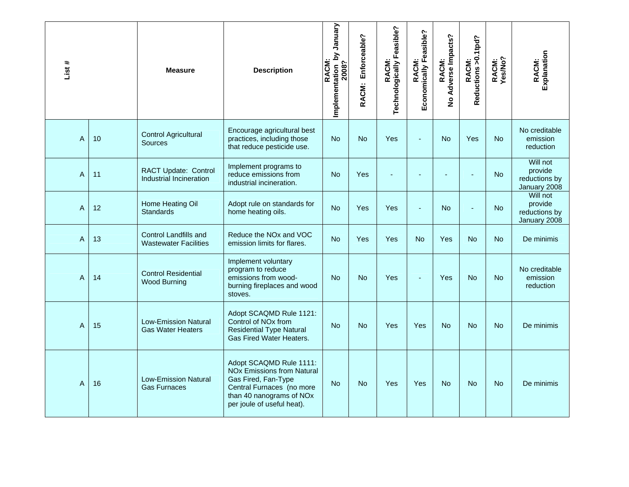| List #         |    | <b>Measure</b>                                               | <b>Description</b>                                                                                                                                                                    | Vienuary<br>Implementation by<br>2008?<br>RACM: | Enforceable?<br>RACM: | Technologically Feasible?<br>RACM: | Economically Feasible?<br>RACM: | No Adverse Impacts?<br>RACM: | Reductions > 0.1tpd?<br>RACM: | RACM:<br>Yes/No? | Explanation<br>RACM:                                 |
|----------------|----|--------------------------------------------------------------|---------------------------------------------------------------------------------------------------------------------------------------------------------------------------------------|-------------------------------------------------|-----------------------|------------------------------------|---------------------------------|------------------------------|-------------------------------|------------------|------------------------------------------------------|
| Α              | 10 | <b>Control Agricultural</b><br><b>Sources</b>                | Encourage agricultural best<br>practices, including those<br>that reduce pesticide use.                                                                                               | <b>No</b>                                       | <b>No</b>             | Yes                                |                                 | <b>No</b>                    | Yes                           | <b>No</b>        | No creditable<br>emission<br>reduction               |
| A              | 11 | RACT Update: Control<br>Industrial Incineration              | Implement programs to<br>reduce emissions from<br>industrial incineration.                                                                                                            | <b>No</b>                                       | Yes                   |                                    |                                 |                              |                               | <b>No</b>        | Will not<br>provide<br>reductions by<br>January 2008 |
| $\overline{A}$ | 12 | Home Heating Oil<br><b>Standards</b>                         | Adopt rule on standards for<br>home heating oils.                                                                                                                                     | <b>No</b>                                       | Yes                   | Yes                                | ä,                              | <b>No</b>                    | ä,                            | <b>No</b>        | Will not<br>provide<br>reductions by<br>January 2008 |
| A              | 13 | <b>Control Landfills and</b><br><b>Wastewater Facilities</b> | Reduce the NO <sub>x</sub> and VOC<br>emission limits for flares.                                                                                                                     | <b>No</b>                                       | <b>Yes</b>            | Yes                                | <b>No</b>                       | Yes                          | <b>No</b>                     | <b>No</b>        | De minimis                                           |
| Α              | 14 | <b>Control Residential</b><br><b>Wood Burning</b>            | Implement voluntary<br>program to reduce<br>emissions from wood-<br>burning fireplaces and wood<br>stoves.                                                                            | <b>No</b>                                       | <b>No</b>             | Yes                                | L.                              | Yes                          | <b>No</b>                     | <b>No</b>        | No creditable<br>emission<br>reduction               |
| $\overline{A}$ | 15 | <b>Low-Emission Natural</b><br><b>Gas Water Heaters</b>      | Adopt SCAQMD Rule 1121:<br>Control of NO <sub>x</sub> from<br><b>Residential Type Natural</b><br><b>Gas Fired Water Heaters.</b>                                                      | <b>No</b>                                       | <b>No</b>             | Yes                                | Yes                             | <b>No</b>                    | <b>No</b>                     | <b>No</b>        | De minimis                                           |
| Α              | 16 | <b>Low-Emission Natural</b><br><b>Gas Furnaces</b>           | Adopt SCAQMD Rule 1111:<br><b>NO<sub>x</sub></b> Emissions from Natural<br>Gas Fired, Fan-Type<br>Central Furnaces (no more<br>than 40 nanograms of NOx<br>per joule of useful heat). | <b>No</b>                                       | <b>No</b>             | Yes                                | Yes                             | <b>No</b>                    | <b>No</b>                     | <b>No</b>        | De minimis                                           |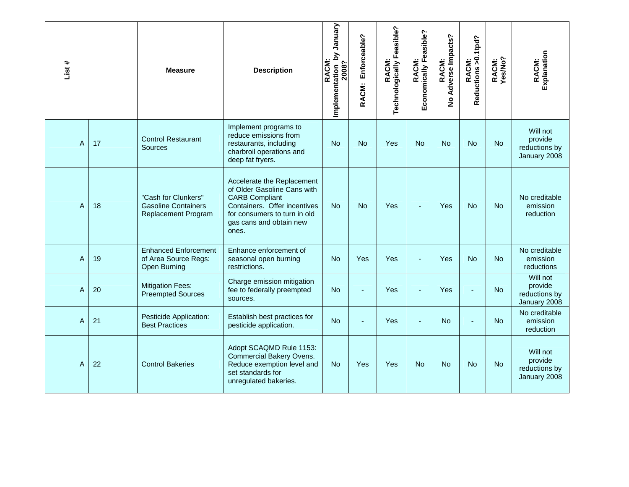| List#          |    | <b>Measure</b>                                                                  | <b>Description</b>                                                                                                                                                                     | Vienuary<br>Implementation by<br>2008?<br>RACM: | Enforceable?<br>RACM: | Technologically Feasible?<br>RACM: | Economically Feasible?<br>RACM: | Adverse Impacts?<br>RACM:<br>$\frac{9}{2}$ | RACM:<br>Reductions >0.1tpd? | RACM:<br>Yes/No? | Explanation<br>RACM:                                 |
|----------------|----|---------------------------------------------------------------------------------|----------------------------------------------------------------------------------------------------------------------------------------------------------------------------------------|-------------------------------------------------|-----------------------|------------------------------------|---------------------------------|--------------------------------------------|------------------------------|------------------|------------------------------------------------------|
| A              | 17 | <b>Control Restaurant</b><br>Sources                                            | Implement programs to<br>reduce emissions from<br>restaurants, including<br>charbroil operations and<br>deep fat fryers.                                                               | <b>No</b>                                       | <b>No</b>             | Yes                                | <b>No</b>                       | No                                         | <b>No</b>                    | <b>No</b>        | Will not<br>provide<br>reductions by<br>January 2008 |
| A              | 18 | "Cash for Clunkers"<br><b>Gasoline Containers</b><br><b>Replacement Program</b> | Accelerate the Replacement<br>of Older Gasoline Cans with<br><b>CARB Compliant</b><br>Containers. Offer incentives<br>for consumers to turn in old<br>gas cans and obtain new<br>ones. | <b>No</b>                                       | <b>No</b>             | Yes                                |                                 | Yes                                        | <b>No</b>                    | <b>No</b>        | No creditable<br>emission<br>reduction               |
| $\overline{A}$ | 19 | <b>Enhanced Enforcement</b><br>of Area Source Regs:<br><b>Open Burning</b>      | Enhance enforcement of<br>seasonal open burning<br>restrictions.                                                                                                                       | <b>No</b>                                       | Yes                   | Yes                                |                                 | Yes                                        | <b>No</b>                    | <b>No</b>        | No creditable<br>emission<br><b>reductions</b>       |
| A              | 20 | <b>Mitigation Fees:</b><br><b>Preempted Sources</b>                             | Charge emission mitigation<br>fee to federally preempted<br>sources.                                                                                                                   | No.                                             |                       | Yes                                |                                 | Yes                                        |                              | No               | Will not<br>provide<br>reductions by<br>January 2008 |
| A              | 21 | Pesticide Application:<br><b>Best Practices</b>                                 | Establish best practices for<br>pesticide application.                                                                                                                                 | <b>No</b>                                       |                       | Yes                                |                                 | No                                         |                              | <b>No</b>        | No creditable<br>emission<br>reduction               |
| A              | 22 | <b>Control Bakeries</b>                                                         | Adopt SCAQMD Rule 1153:<br><b>Commercial Bakery Ovens.</b><br>Reduce exemption level and<br>set standards for<br>unregulated bakeries.                                                 | <b>No</b>                                       | Yes                   | Yes                                | <b>No</b>                       | No                                         | No                           | <b>No</b>        | Will not<br>provide<br>reductions by<br>January 2008 |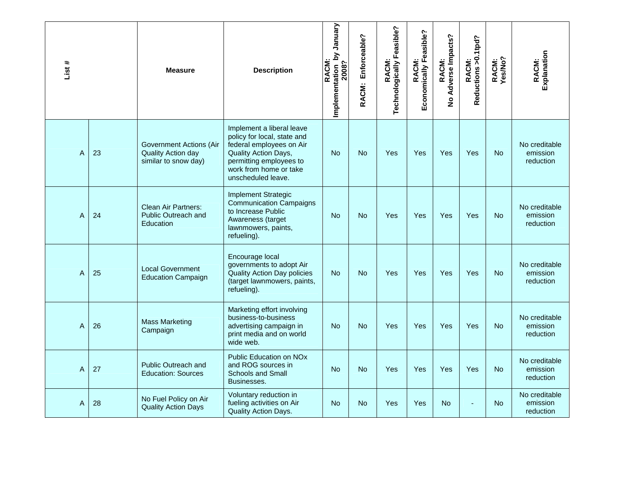| List # |    | <b>Measure</b>                                                        | <b>Description</b>                                                                                                                                                                      | Implementation_by January<br>2008?<br><b>RACM</b> | Enforceable?<br>RACM: | RACM:<br>Technologically Feasible? | Economically Feasible?<br>RACM: | Adverse Impacts?<br>RACM:<br>$\overline{2}$ | RACM:<br>Reductions >0.1tpd? | RACM:<br>Yes/No? | Explanation<br>RACM:                   |
|--------|----|-----------------------------------------------------------------------|-----------------------------------------------------------------------------------------------------------------------------------------------------------------------------------------|---------------------------------------------------|-----------------------|------------------------------------|---------------------------------|---------------------------------------------|------------------------------|------------------|----------------------------------------|
| Α      | 23 | Government Actions (Air<br>Quality Action day<br>similar to snow day) | Implement a liberal leave<br>policy for local, state and<br>federal employees on Air<br>Quality Action Days,<br>permitting employees to<br>work from home or take<br>unscheduled leave. | <b>No</b>                                         | <b>No</b>             | Yes                                | Yes                             | Yes                                         | Yes                          | <b>No</b>        | No creditable<br>emission<br>reduction |
| A      | 24 | Clean Air Partners:<br><b>Public Outreach and</b><br>Education        | <b>Implement Strategic</b><br><b>Communication Campaigns</b><br>to Increase Public<br>Awareness (target<br>lawnmowers, paints,<br>refueling).                                           | <b>No</b>                                         | <b>No</b>             | Yes                                | Yes                             | Yes                                         | Yes                          | <b>No</b>        | No creditable<br>emission<br>reduction |
| Α      | 25 | <b>Local Government</b><br><b>Education Campaign</b>                  | Encourage local<br>governments to adopt Air<br>Quality Action Day policies<br>(target lawnmowers, paints,<br>refueling).                                                                | <b>No</b>                                         | <b>No</b>             | Yes                                | Yes                             | Yes                                         | Yes                          | <b>No</b>        | No creditable<br>emission<br>reduction |
| A      | 26 | <b>Mass Marketing</b><br>Campaign                                     | Marketing effort involving<br>business-to-business<br>advertising campaign in<br>print media and on world<br>wide web.                                                                  | <b>No</b>                                         | <b>No</b>             | Yes                                | Yes                             | Yes                                         | Yes                          | <b>No</b>        | No creditable<br>emission<br>reduction |
| A      | 27 | <b>Public Outreach and</b><br><b>Education: Sources</b>               | <b>Public Education on NOx</b><br>and ROG sources in<br><b>Schools and Small</b><br>Businesses.                                                                                         | <b>No</b>                                         | N <sub>o</sub>        | Yes                                | Yes                             | Yes                                         | Yes                          | No.              | No creditable<br>emission<br>reduction |
| A      | 28 | No Fuel Policy on Air<br><b>Quality Action Days</b>                   | Voluntary reduction in<br>fueling activities on Air<br>Quality Action Days.                                                                                                             | <b>No</b>                                         | <b>No</b>             | Yes                                | Yes                             | <b>No</b>                                   |                              | <b>No</b>        | No creditable<br>emission<br>reduction |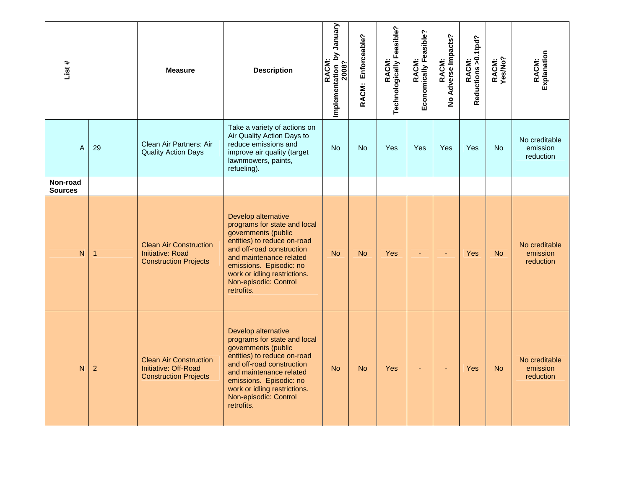| List#                      |                | <b>Measure</b>                                                                           | <b>Description</b>                                                                                                                                                                                                                                                  | Implementation by January<br>RACM:<br>2008? | Enforceable?<br>RACM: | RACM:<br>Technologically Feasible? | RACM:<br>Economically Feasible? | RACM:<br>No Adverse Impacts? | RACM:<br>Reductions >0.1tpd? | RACM:<br>Yes/No? | RACM:<br>Explanation                   |
|----------------------------|----------------|------------------------------------------------------------------------------------------|---------------------------------------------------------------------------------------------------------------------------------------------------------------------------------------------------------------------------------------------------------------------|---------------------------------------------|-----------------------|------------------------------------|---------------------------------|------------------------------|------------------------------|------------------|----------------------------------------|
| A                          | 29             | Clean Air Partners: Air<br><b>Quality Action Days</b>                                    | Take a variety of actions on<br>Air Quality Action Days to<br>reduce emissions and<br>improve air quality (target<br>lawnmowers, paints,<br>refueling).                                                                                                             | <b>No</b>                                   | <b>No</b>             | Yes                                | Yes                             | Yes                          | Yes                          | <b>No</b>        | No creditable<br>emission<br>reduction |
| Non-road<br><b>Sources</b> |                |                                                                                          |                                                                                                                                                                                                                                                                     |                                             |                       |                                    |                                 |                              |                              |                  |                                        |
| N                          | $\mathbf{1}$   | <b>Clean Air Construction</b><br><b>Initiative: Road</b><br><b>Construction Projects</b> | Develop alternative<br>programs for state and local<br>governments (public<br>entities) to reduce on-road<br>and off-road construction<br>and maintenance related<br>emissions. Episodic: no<br>work or idling restrictions.<br>Non-episodic: Control<br>retrofits. | <b>No</b>                                   | <b>No</b>             | Yes                                |                                 | ٠                            | <b>Yes</b>                   | <b>No</b>        | No creditable<br>emission<br>reduction |
| N                          | $\overline{a}$ | <b>Clean Air Construction</b><br>Initiative: Off-Road<br><b>Construction Projects</b>    | Develop alternative<br>programs for state and local<br>governments (public<br>entities) to reduce on-road<br>and off-road construction<br>and maintenance related<br>emissions. Episodic: no<br>work or idling restrictions.<br>Non-episodic: Control<br>retrofits. | <b>No</b>                                   | <b>No</b>             | Yes                                | $\blacksquare$                  | $\blacksquare$               | <b>Yes</b>                   | <b>No</b>        | No creditable<br>emission<br>reduction |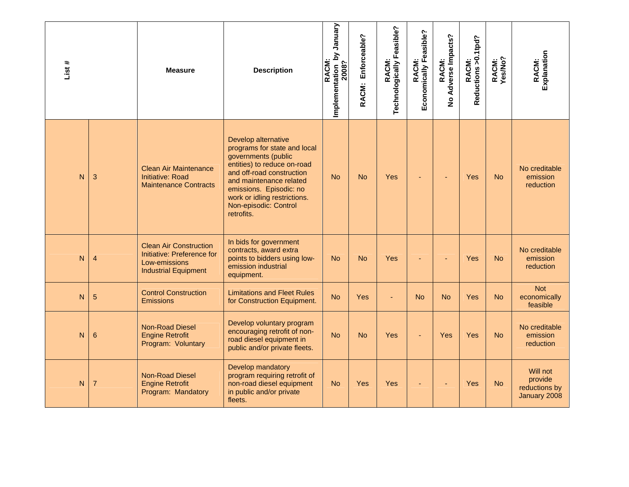| List# |                | <b>Measure</b>                                                                                              | <b>Description</b>                                                                                                                                                                                                                                                  | January<br>Implementation by<br>2008?<br>RACM: | Enforceable?<br><b>RACM:</b> | RACM:<br>Technologically Feasible? | Economically Feasible?<br><b>RACM:</b> | No Adverse Impacts?<br>RACM: | RACM:<br>Reductions >0.1tpd? | RACM:<br>Yes/No? | Explanation<br>RACM:                                 |
|-------|----------------|-------------------------------------------------------------------------------------------------------------|---------------------------------------------------------------------------------------------------------------------------------------------------------------------------------------------------------------------------------------------------------------------|------------------------------------------------|------------------------------|------------------------------------|----------------------------------------|------------------------------|------------------------------|------------------|------------------------------------------------------|
| N     | 3              | <b>Clean Air Maintenance</b><br><b>Initiative: Road</b><br><b>Maintenance Contracts</b>                     | Develop alternative<br>programs for state and local<br>governments (public<br>entities) to reduce on-road<br>and off-road construction<br>and maintenance related<br>emissions. Episodic: no<br>work or idling restrictions.<br>Non-episodic: Control<br>retrofits. | <b>No</b>                                      | <b>No</b>                    | Yes                                |                                        |                              | Yes                          | <b>No</b>        | No creditable<br>emission<br>reduction               |
| N     | $\overline{4}$ | <b>Clean Air Construction</b><br>Initiative: Preference for<br>Low-emissions<br><b>Industrial Equipment</b> | In bids for government<br>contracts, award extra<br>points to bidders using low-<br>emission industrial<br>equipment.                                                                                                                                               | <b>No</b>                                      | <b>No</b>                    | Yes                                |                                        |                              | Yes                          | <b>No</b>        | No creditable<br>emission<br>reduction               |
| N     | 5              | <b>Control Construction</b><br><b>Emissions</b>                                                             | <b>Limitations and Fleet Rules</b><br>for Construction Equipment.                                                                                                                                                                                                   | <b>No</b>                                      | <b>Yes</b>                   | ÷,                                 | <b>No</b>                              | <b>No</b>                    | Yes                          | <b>No</b>        | <b>Not</b><br>economically<br>feasible               |
| N     | 6              | Non-Road Diesel<br><b>Engine Retrofit</b><br>Program: Voluntary                                             | Develop voluntary program<br>encouraging retrofit of non-<br>road diesel equipment in<br>public and/or private fleets.                                                                                                                                              | <b>No</b>                                      | <b>No</b>                    | <b>Yes</b>                         |                                        | Yes                          | Yes                          | <b>No</b>        | No creditable<br>emission<br>reduction               |
| N     | $\overline{7}$ | <b>Non-Road Diesel</b><br><b>Engine Retrofit</b><br>Program: Mandatory                                      | Develop mandatory<br>program requiring retrofit of<br>non-road diesel equipment<br>in public and/or private<br>fleets.                                                                                                                                              | <b>No</b>                                      | <b>Yes</b>                   | Yes                                |                                        |                              | Yes                          | <b>No</b>        | Will not<br>provide<br>reductions by<br>January 2008 |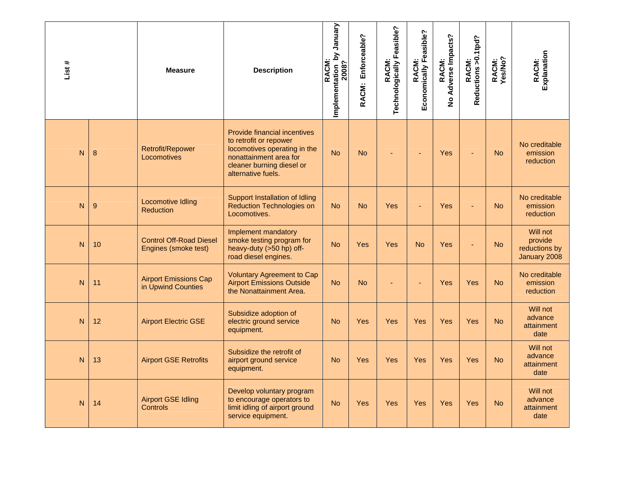| List#        |    | <b>Measure</b>                                         | <b>Description</b>                                                                                                                                                         | Implementation by January<br>2008?<br>RACM: | Enforceable?<br><b>RACM:</b> | RACM:<br>Technologically Feasible? | Economically Feasible?<br><b>RACM:</b> | RACM:<br>Adverse Impacts?<br>$\frac{1}{2}$ | RACM:<br>Reductions >0.1tpd? | RACM:<br>Yes/No? | RACM:<br>Explanation                                 |
|--------------|----|--------------------------------------------------------|----------------------------------------------------------------------------------------------------------------------------------------------------------------------------|---------------------------------------------|------------------------------|------------------------------------|----------------------------------------|--------------------------------------------|------------------------------|------------------|------------------------------------------------------|
| $\mathsf{N}$ | 8  | Retrofit/Repower<br>Locomotives                        | <b>Provide financial incentives</b><br>to retrofit or repower<br>locomotives operating in the<br>nonattainment area for<br>cleaner burning diesel or<br>alternative fuels. | <b>No</b>                                   | <b>No</b>                    |                                    | ÷                                      | Yes                                        |                              | <b>No</b>        | No creditable<br>emission<br>reduction               |
| $\mathsf{N}$ | 9  | <b>Locomotive Idling</b><br><b>Reduction</b>           | Support Installation of Idling<br><b>Reduction Technologies on</b><br>Locomotives.                                                                                         | <b>No</b>                                   | <b>No</b>                    | <b>Yes</b>                         |                                        | Yes                                        |                              | <b>No</b>        | No creditable<br>emission<br>reduction               |
| $\mathsf{N}$ | 10 | <b>Control Off-Road Diesel</b><br>Engines (smoke test) | Implement mandatory<br>smoke testing program for<br>heavy-duty (>50 hp) off-<br>road diesel engines.                                                                       | <b>No</b>                                   | Yes                          | <b>Yes</b>                         | <b>No</b>                              | Yes                                        |                              | <b>No</b>        | Will not<br>provide<br>reductions by<br>January 2008 |
| N            | 11 | <b>Airport Emissions Cap</b><br>in Upwind Counties     | <b>Voluntary Agreement to Cap</b><br><b>Airport Emissions Outside</b><br>the Nonattainment Area.                                                                           | <b>No</b>                                   | <b>No</b>                    |                                    |                                        | Yes                                        | Yes                          | <b>No</b>        | No creditable<br>emission<br>reduction               |
| $\mathsf{N}$ | 12 | <b>Airport Electric GSE</b>                            | Subsidize adoption of<br>electric ground service<br>equipment.                                                                                                             | <b>No</b>                                   | Yes                          | Yes                                | Yes                                    | Yes                                        | Yes                          | <b>No</b>        | Will not<br>advance<br>attainment<br>date            |
| N            | 13 | <b>Airport GSE Retrofits</b>                           | Subsidize the retrofit of<br>airport ground service<br>equipment.                                                                                                          | <b>No</b>                                   | Yes                          | <b>Yes</b>                         | Yes                                    | Yes                                        | Yes                          | <b>No</b>        | Will not<br>advance<br>attainment<br>date            |
| N            | 14 | <b>Airport GSE Idling</b><br><b>Controls</b>           | Develop voluntary program<br>to encourage operators to<br>limit idling of airport ground<br>service equipment.                                                             | <b>No</b>                                   | Yes                          | Yes                                | Yes                                    | Yes                                        | Yes                          | <b>No</b>        | Will not<br>advance<br>attainment<br>date            |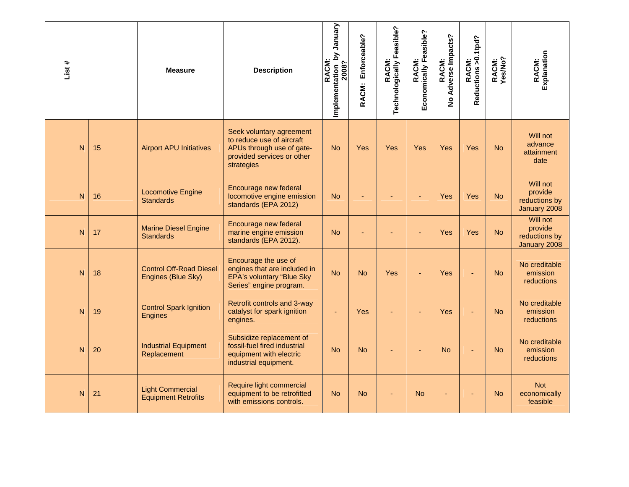| List#        |    | <b>Measure</b>                                        | <b>Description</b>                                                                                                             | Implementation_by January<br>2008?<br>RACM: | Enforceable?<br>RACM: | RACM:<br>Technologically Feasible? | Economically Feasible?<br>RACM: | No Adverse Impacts?<br>RACM: | RACM:<br>Reductions >0.1tpd? | RACM:<br>Yes/No? | Explanation<br>RACM:                                 |
|--------------|----|-------------------------------------------------------|--------------------------------------------------------------------------------------------------------------------------------|---------------------------------------------|-----------------------|------------------------------------|---------------------------------|------------------------------|------------------------------|------------------|------------------------------------------------------|
| $\mathsf{N}$ | 15 | <b>Airport APU Initiatives</b>                        | Seek voluntary agreement<br>to reduce use of aircraft<br>APUs through use of gate-<br>provided services or other<br>strategies | <b>No</b>                                   | Yes                   | Yes                                | Yes                             | Yes                          | Yes                          | <b>No</b>        | Will not<br>advance<br>attainment<br>date            |
| N            | 16 | <b>Locomotive Engine</b><br><b>Standards</b>          | Encourage new federal<br>locomotive engine emission<br>standards (EPA 2012)                                                    | <b>No</b>                                   |                       |                                    |                                 | Yes                          | Yes                          | <b>No</b>        | Will not<br>provide<br>reductions by<br>January 2008 |
| N            | 17 | <b>Marine Diesel Engine</b><br><b>Standards</b>       | Encourage new federal<br>marine engine emission<br>standards (EPA 2012).                                                       | <b>No</b>                                   |                       |                                    |                                 | Yes                          | Yes                          | <b>No</b>        | Will not<br>provide<br>reductions by<br>January 2008 |
| $\mathsf{N}$ | 18 | <b>Control Off-Road Diesel</b><br>Engines (Blue Sky)  | Encourage the use of<br>engines that are included in<br><b>EPA's voluntary "Blue Sky</b><br>Series" engine program.            | <b>No</b>                                   | <b>No</b>             | Yes                                |                                 | Yes                          |                              | <b>No</b>        | No creditable<br>emission<br>reductions              |
| N            | 19 | <b>Control Spark Ignition</b><br><b>Engines</b>       | Retrofit controls and 3-way<br>catalyst for spark ignition<br>engines.                                                         |                                             | <b>Yes</b>            |                                    |                                 | Yes                          |                              | <b>No</b>        | No creditable<br>emission<br>reductions              |
| N            | 20 | <b>Industrial Equipment</b><br>Replacement            | Subsidize replacement of<br>fossil-fuel fired industrial<br>equipment with electric<br>industrial equipment.                   | <b>No</b>                                   | <b>No</b>             |                                    | ÷                               | <b>No</b>                    |                              | <b>No</b>        | No creditable<br>emission<br>reductions              |
| $\mathsf{N}$ | 21 | <b>Light Commercial</b><br><b>Equipment Retrofits</b> | Require light commercial<br>equipment to be retrofitted<br>with emissions controls.                                            | <b>No</b>                                   | <b>No</b>             |                                    | <b>No</b>                       |                              |                              | <b>No</b>        | <b>Not</b><br>economically<br>feasible               |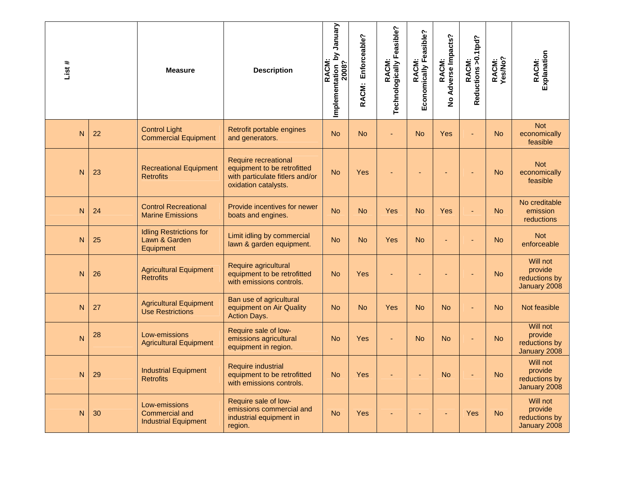| List#        |    | <b>Measure</b>                                                 | <b>Description</b>                                                                                             | Implementation by January<br>2008?<br><b>RACM</b> | Enforceable?<br>RACM: | Technologically Feasible?<br>RACM: | Economically Feasible?<br><b>RACM:</b> | RACM:<br>No Adverse Impacts? | RACM:<br>Reductions >0.1tpd? | RACM:<br>Yes/No? | Explanation<br>RACM:                                 |
|--------------|----|----------------------------------------------------------------|----------------------------------------------------------------------------------------------------------------|---------------------------------------------------|-----------------------|------------------------------------|----------------------------------------|------------------------------|------------------------------|------------------|------------------------------------------------------|
| N            | 22 | <b>Control Light</b><br><b>Commercial Equipment</b>            | Retrofit portable engines<br>and generators.                                                                   | <b>No</b>                                         | <b>No</b>             |                                    | <b>No</b>                              | Yes                          |                              | <b>No</b>        | <b>Not</b><br>economically<br>feasible               |
| $\mathsf{N}$ | 23 | <b>Recreational Equipment</b><br><b>Retrofits</b>              | Require recreational<br>equipment to be retrofitted<br>with particulate fitlers and/or<br>oxidation catalysts. | <b>No</b>                                         | Yes                   |                                    | ٠                                      | ٠                            |                              | <b>No</b>        | <b>Not</b><br>economically<br>feasible               |
| N            | 24 | <b>Control Recreational</b><br><b>Marine Emissions</b>         | Provide incentives for newer<br>boats and engines.                                                             | <b>No</b>                                         | <b>No</b>             | Yes                                | <b>No</b>                              | Yes                          |                              | <b>No</b>        | No creditable<br>emission<br>reductions              |
| N            | 25 | <b>Idling Restrictions for</b><br>Lawn & Garden<br>Equipment   | Limit idling by commercial<br>lawn & garden equipment.                                                         | <b>No</b>                                         | <b>No</b>             | Yes                                | <b>No</b>                              | $\blacksquare$               |                              | <b>No</b>        | <b>Not</b><br>enforceable                            |
| N            | 26 | <b>Agricultural Equipment</b><br><b>Retrofits</b>              | Require agricultural<br>equipment to be retrofitted<br>with emissions controls.                                | <b>No</b>                                         | Yes                   |                                    |                                        |                              |                              | <b>No</b>        | Will not<br>provide<br>reductions by<br>January 2008 |
| $\mathsf{N}$ | 27 | <b>Agricultural Equipment</b><br><b>Use Restrictions</b>       | Ban use of agricultural<br>equipment on Air Quality<br><b>Action Days.</b>                                     | <b>No</b>                                         | <b>No</b>             | <b>Yes</b>                         | <b>No</b>                              | <b>No</b>                    |                              | <b>No</b>        | Not feasible                                         |
| N            | 28 | Low-emissions<br><b>Agricultural Equipment</b>                 | Require sale of low-<br>emissions agricultural<br>equipment in region.                                         | <b>No</b>                                         | Yes                   | Ξ                                  | <b>No</b>                              | <b>No</b>                    |                              | <b>No</b>        | Will not<br>provide<br>reductions by<br>January 2008 |
| N            | 29 | <b>Industrial Equipment</b><br><b>Retrofits</b>                | <b>Require industrial</b><br>equipment to be retrofitted<br>with emissions controls.                           | <b>No</b>                                         | Yes                   |                                    |                                        | <b>No</b>                    |                              | <b>No</b>        | Will not<br>provide<br>reductions by<br>January 2008 |
| N            | 30 | Low-emissions<br>Commercial and<br><b>Industrial Equipment</b> | Require sale of low-<br>emissions commercial and<br>industrial equipment in<br>region.                         | <b>No</b>                                         | Yes                   |                                    | ٠                                      |                              | Yes                          | <b>No</b>        | Will not<br>provide<br>reductions by<br>January 2008 |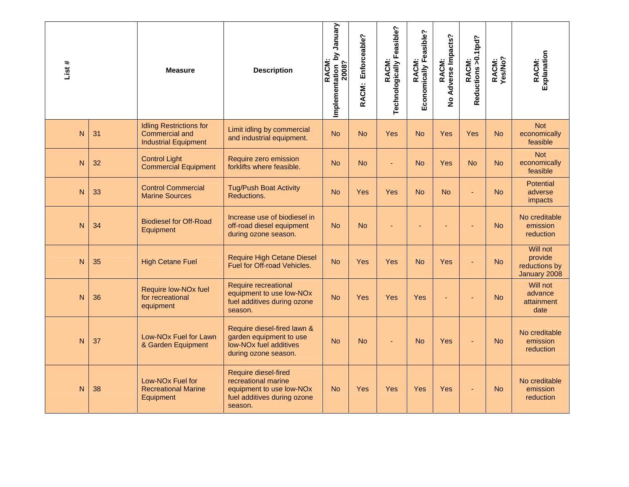| List # |    | <b>Measure</b>                                                                  | <b>Description</b>                                                                                                   | Vienuary<br>Σq<br>Implementation 1<br>2008?<br>RACM: | Enforceable?<br>RACM: | Technologically Feasible?<br>RACM: | Economically Feasible?<br><b>RACM:</b> | Adverse Impacts?<br>RACM:<br>$\frac{9}{2}$ | RACM:<br>Reductions >0.1tpd? | RACM:<br>Yes/No? | Explanation<br>RACM:                                 |
|--------|----|---------------------------------------------------------------------------------|----------------------------------------------------------------------------------------------------------------------|------------------------------------------------------|-----------------------|------------------------------------|----------------------------------------|--------------------------------------------|------------------------------|------------------|------------------------------------------------------|
| N      | 31 | <b>Idling Restrictions for</b><br>Commercial and<br><b>Industrial Equipment</b> | Limit idling by commercial<br>and industrial equipment.                                                              | <b>No</b>                                            | <b>No</b>             | <b>Yes</b>                         | <b>No</b>                              | Yes                                        | Yes                          | <b>No</b>        | <b>Not</b><br>economically<br>feasible               |
| N      | 32 | <b>Control Light</b><br><b>Commercial Equipment</b>                             | Require zero emission<br>forklifts where feasible.                                                                   | <b>No</b>                                            | <b>No</b>             | ٠                                  | <b>No</b>                              | Yes                                        | <b>No</b>                    | <b>No</b>        | <b>Not</b><br>economically<br>feasible               |
| N      | 33 | <b>Control Commercial</b><br><b>Marine Sources</b>                              | <b>Tug/Push Boat Activity</b><br>Reductions.                                                                         | <b>No</b>                                            | <b>Yes</b>            | <b>Yes</b>                         | <b>No</b>                              | <b>No</b>                                  |                              | <b>No</b>        | <b>Potential</b><br>adverse<br>impacts               |
| N      | 34 | <b>Biodiesel for Off-Road</b><br>Equipment                                      | Increase use of biodiesel in<br>off-road diesel equipment<br>during ozone season.                                    | <b>No</b>                                            | <b>No</b>             |                                    |                                        |                                            |                              | <b>No</b>        | No creditable<br>emission<br>reduction               |
| N      | 35 | <b>High Cetane Fuel</b>                                                         | <b>Require High Cetane Diesel</b><br>Fuel for Off-road Vehicles.                                                     | <b>No</b>                                            | <b>Yes</b>            | <b>Yes</b>                         | <b>No</b>                              | Yes                                        |                              | <b>No</b>        | Will not<br>provide<br>reductions by<br>January 2008 |
| N      | 36 | Require low-NO <sub>x</sub> fuel<br>for recreational<br>equipment               | <b>Require recreational</b><br>equipment to use low-NOx<br>fuel additives during ozone<br>season.                    | <b>No</b>                                            | <b>Yes</b>            | <b>Yes</b>                         | Yes                                    | ÷                                          |                              | <b>No</b>        | Will not<br>advance<br>attainment<br>date            |
| N      | 37 | Low-NO <sub>x</sub> Fuel for Lawn<br>& Garden Equipment                         | Require diesel-fired lawn &<br>garden equipment to use<br>low-NO <sub>x</sub> fuel additives<br>during ozone season. | <b>No</b>                                            | <b>No</b>             |                                    | <b>No</b>                              | Yes                                        |                              | <b>No</b>        | No creditable<br>emission<br>reduction               |
| N      | 38 | Low-NO <sub>x</sub> Fuel for<br><b>Recreational Marine</b><br>Equipment         | Require diesel-fired<br>recreational marine<br>equipment to use low-NOx<br>fuel additives during ozone<br>season.    | <b>No</b>                                            | <b>Yes</b>            | Yes                                | Yes                                    | Yes                                        |                              | <b>No</b>        | No creditable<br>emission<br>reduction               |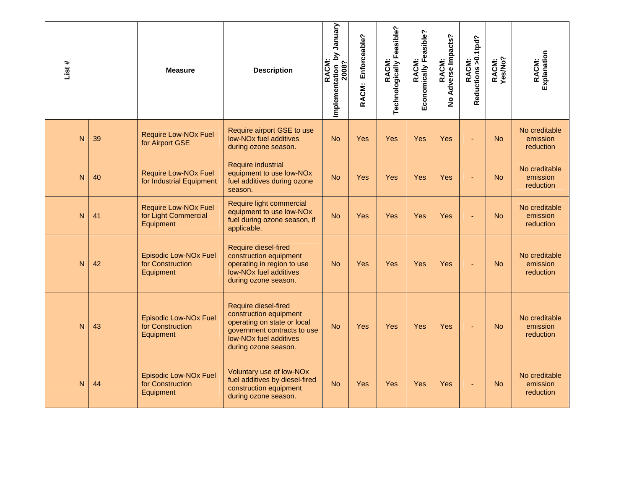| List # |    | <b>Measure</b>                                                   | <b>Description</b>                                                                                                                                                                | January<br>$\overline{\mathbf{z}}$<br>RACM:<br>Implementation 1<br>2008? | Enforceable?<br><b>RACM:</b> | RACM:<br>Technologically Feasible? | Economically Feasible?<br><b>RACM:</b> | Adverse Impacts?<br>RACM:<br>$\overline{\mathbf{z}}$ | RACM:<br>Reductions >0.1tpd? | RACM:<br>Yes/No? | Explanation<br>RACM:                   |
|--------|----|------------------------------------------------------------------|-----------------------------------------------------------------------------------------------------------------------------------------------------------------------------------|--------------------------------------------------------------------------|------------------------------|------------------------------------|----------------------------------------|------------------------------------------------------|------------------------------|------------------|----------------------------------------|
| N      | 39 | <b>Require Low-NOx Fuel</b><br>for Airport GSE                   | Require airport GSE to use<br>low-NOx fuel additives<br>during ozone season.                                                                                                      | <b>No</b>                                                                | Yes                          | Yes                                | Yes                                    | Yes                                                  |                              | <b>No</b>        | No creditable<br>emission<br>reduction |
| N      | 40 | <b>Require Low-NOx Fuel</b><br>for Industrial Equipment          | Require industrial<br>equipment to use low-NOx<br>fuel additives during ozone<br>season.                                                                                          | <b>No</b>                                                                | Yes                          | Yes                                | Yes                                    | Yes                                                  |                              | <b>No</b>        | No creditable<br>emission<br>reduction |
| N      | 41 | <b>Require Low-NOx Fuel</b><br>for Light Commercial<br>Equipment | Require light commercial<br>equipment to use low-NOx<br>fuel during ozone season, if<br>applicable.                                                                               | <b>No</b>                                                                | Yes                          | <b>Yes</b>                         | Yes                                    | Yes                                                  |                              | <b>No</b>        | No creditable<br>emission<br>reduction |
| N      | 42 | <b>Episodic Low-NOx Fuel</b><br>for Construction<br>Equipment    | Require diesel-fired<br>construction equipment<br>operating in region to use<br>low-NO <sub>x</sub> fuel additives<br>during ozone season.                                        | <b>No</b>                                                                | Yes                          | <b>Yes</b>                         | Yes                                    | Yes                                                  |                              | <b>No</b>        | No creditable<br>emission<br>reduction |
| N      | 43 | <b>Episodic Low-NOx Fuel</b><br>for Construction<br>Equipment    | <b>Require diesel-fired</b><br>construction equipment<br>operating on state or local<br>government contracts to use<br>low-NO <sub>x</sub> fuel additives<br>during ozone season. | <b>No</b>                                                                | Yes                          | <b>Yes</b>                         | Yes                                    | Yes                                                  |                              | <b>No</b>        | No creditable<br>emission<br>reduction |
| N      | 44 | <b>Episodic Low-NOx Fuel</b><br>for Construction<br>Equipment    | Voluntary use of low-NOx<br>fuel additives by diesel-fired<br>construction equipment<br>during ozone season.                                                                      | <b>No</b>                                                                | Yes                          | <b>Yes</b>                         | <b>Yes</b>                             | Yes                                                  |                              | <b>No</b>        | No creditable<br>emission<br>reduction |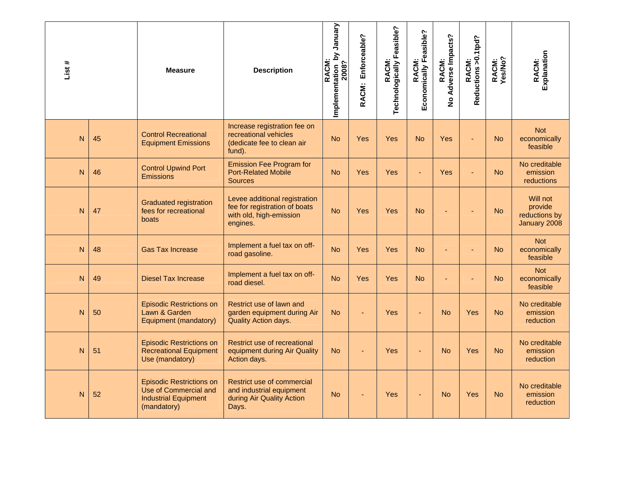| List # |    | <b>Measure</b>                                                                                         | <b>Description</b>                                                                                    | Implementation_by January<br>2008?<br>RACM: | Enforceable?<br>RACM: | RACM:<br>Technologically Feasible? | Economically Feasible?<br>RACM: | No Adverse Impacts?<br>RACM: | RACM:<br>Reductions >0.1tpd? | RACM:<br>Yes/No? | RACM:<br>Explanation                                 |
|--------|----|--------------------------------------------------------------------------------------------------------|-------------------------------------------------------------------------------------------------------|---------------------------------------------|-----------------------|------------------------------------|---------------------------------|------------------------------|------------------------------|------------------|------------------------------------------------------|
| N      | 45 | <b>Control Recreational</b><br><b>Equipment Emissions</b>                                              | Increase registration fee on<br>recreational vehicles<br>(dedicate fee to clean air<br>fund).         | <b>No</b>                                   | <b>Yes</b>            | <b>Yes</b>                         | <b>No</b>                       | Yes                          |                              | <b>No</b>        | <b>Not</b><br>economically<br>feasible               |
| N      | 46 | <b>Control Upwind Port</b><br><b>Emissions</b>                                                         | <b>Emission Fee Program for</b><br><b>Port-Related Mobile</b><br><b>Sources</b>                       | <b>No</b>                                   | <b>Yes</b>            | Yes                                | ä,                              | Yes                          |                              | <b>No</b>        | No creditable<br>emission<br><b>reductions</b>       |
| N      | 47 | <b>Graduated registration</b><br>fees for recreational<br>boats                                        | Levee additional registration<br>fee for registration of boats<br>with old, high-emission<br>engines. | <b>No</b>                                   | <b>Yes</b>            | Yes                                | <b>No</b>                       |                              |                              | <b>No</b>        | Will not<br>provide<br>reductions by<br>January 2008 |
| N      | 48 | <b>Gas Tax Increase</b>                                                                                | Implement a fuel tax on off-<br>road gasoline.                                                        | <b>No</b>                                   | <b>Yes</b>            | <b>Yes</b>                         | <b>No</b>                       |                              |                              | <b>No</b>        | <b>Not</b><br>economically<br>feasible               |
| N      | 49 | <b>Diesel Tax Increase</b>                                                                             | Implement a fuel tax on off-<br>road diesel.                                                          | <b>No</b>                                   | <b>Yes</b>            | <b>Yes</b>                         | <b>No</b>                       | $\blacksquare$               |                              | <b>No</b>        | <b>Not</b><br>economically<br>feasible               |
| N      | 50 | <b>Episodic Restrictions on</b><br>Lawn & Garden<br>Equipment (mandatory)                              | Restrict use of lawn and<br>garden equipment during Air<br>Quality Action days.                       | <b>No</b>                                   |                       | <b>Yes</b>                         | ÷,                              | <b>No</b>                    | Yes                          | <b>No</b>        | No creditable<br>emission<br>reduction               |
| N      | 51 | <b>Episodic Restrictions on</b><br><b>Recreational Equipment</b><br>Use (mandatory)                    | Restrict use of recreational<br>equipment during Air Quality<br>Action days.                          | <b>No</b>                                   |                       | Yes                                |                                 | <b>No</b>                    | Yes                          | <b>No</b>        | No creditable<br>emission<br>reduction               |
| N      | 52 | <b>Episodic Restrictions on</b><br>Use of Commercial and<br><b>Industrial Equipment</b><br>(mandatory) | Restrict use of commercial<br>and industrial equipment<br>during Air Quality Action<br>Days.          | <b>No</b>                                   |                       | Yes                                |                                 | <b>No</b>                    | Yes                          | <b>No</b>        | No creditable<br>emission<br>reduction               |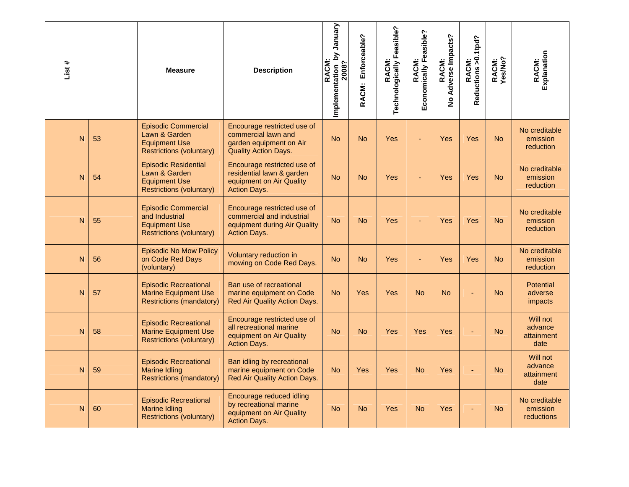| List# |    | <b>Measure</b>                                                                                          | <b>Description</b>                                                                                              | Implementation by January<br>2008?<br>RACM: | Enforceable?<br>RACM: | RACM:<br>Technologically Feasible? | Economically Feasible?<br><b>RACM:</b> | Adverse Impacts?<br>RACM:<br>$\frac{9}{2}$ | RACM:<br>Reductions >0.1tpd? | RACM:<br>Yes/No? | Explanation<br>RACM:                          |
|-------|----|---------------------------------------------------------------------------------------------------------|-----------------------------------------------------------------------------------------------------------------|---------------------------------------------|-----------------------|------------------------------------|----------------------------------------|--------------------------------------------|------------------------------|------------------|-----------------------------------------------|
| N     | 53 | <b>Episodic Commercial</b><br>Lawn & Garden<br><b>Equipment Use</b><br><b>Restrictions (voluntary)</b>  | Encourage restricted use of<br>commercial lawn and<br>garden equipment on Air<br><b>Quality Action Days.</b>    | <b>No</b>                                   | <b>No</b>             | Yes                                |                                        | Yes                                        | Yes                          | <b>No</b>        | No creditable<br>emission<br><b>reduction</b> |
| N     | 54 | <b>Episodic Residential</b><br>Lawn & Garden<br><b>Equipment Use</b><br><b>Restrictions (voluntary)</b> | Encourage restricted use of<br>residential lawn & garden<br>equipment on Air Quality<br><b>Action Days.</b>     | <b>No</b>                                   | <b>No</b>             | Yes                                | ł,                                     | Yes                                        | Yes                          | <b>No</b>        | No creditable<br>emission<br>reduction        |
| N     | 55 | <b>Episodic Commercial</b><br>and Industrial<br><b>Equipment Use</b><br><b>Restrictions (voluntary)</b> | Encourage restricted use of<br>commercial and industrial<br>equipment during Air Quality<br><b>Action Days.</b> | <b>No</b>                                   | <b>No</b>             | Yes                                |                                        | Yes                                        | Yes                          | <b>No</b>        | No creditable<br>emission<br>reduction        |
| N     | 56 | <b>Episodic No Mow Policy</b><br>on Code Red Days<br>(voluntary)                                        | Voluntary reduction in<br>mowing on Code Red Days.                                                              | <b>No</b>                                   | <b>No</b>             | Yes                                | ÷,                                     | Yes                                        | Yes                          | <b>No</b>        | No creditable<br>emission<br>reduction        |
| N     | 57 | <b>Episodic Recreational</b><br><b>Marine Equipment Use</b><br>Restrictions (mandatory)                 | Ban use of recreational<br>marine equipment on Code<br>Red Air Quality Action Days.                             | <b>No</b>                                   | <b>Yes</b>            | Yes                                | <b>No</b>                              | <b>No</b>                                  |                              | <b>No</b>        | <b>Potential</b><br>adverse<br><i>impacts</i> |
| N     | 58 | <b>Episodic Recreational</b><br><b>Marine Equipment Use</b><br><b>Restrictions (voluntary)</b>          | Encourage restricted use of<br>all recreational marine<br>equipment on Air Quality<br><b>Action Days.</b>       | <b>No</b>                                   | <b>No</b>             | Yes                                | Yes                                    | Yes                                        |                              | <b>No</b>        | Will not<br>advance<br>attainment<br>date     |
| N     | 59 | <b>Episodic Recreational</b><br><b>Marine Idling</b><br><b>Restrictions (mandatory)</b>                 | Ban idling by recreational<br>marine equipment on Code<br>Red Air Quality Action Days.                          | <b>No</b>                                   | Yes                   | Yes                                | <b>No</b>                              | Yes                                        |                              | <b>No</b>        | Will not<br>advance<br>attainment<br>date     |
| N     | 60 | <b>Episodic Recreational</b><br><b>Marine Idling</b><br><b>Restrictions (voluntary)</b>                 | Encourage reduced idling<br>by recreational marine<br>equipment on Air Quality<br><b>Action Days.</b>           | N <sub>o</sub>                              | <b>No</b>             | Yes                                | <b>No</b>                              | Yes                                        |                              | <b>No</b>        | No creditable<br>emission<br>reductions       |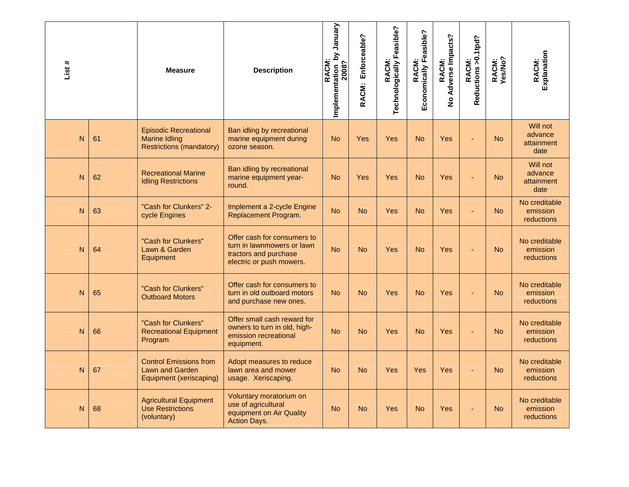| List#          |    | <b>Measure</b>                                                                          | <b>Description</b>                                                                                             | Implementation by January<br>2008?<br>RACM: | Enforceable?<br>RACM: | RACM:<br>Technologically Feasible? | Economically Feasible?<br>RACM: | Adverse Impacts?<br>RACM:<br>$\frac{9}{2}$ | Reductions > 0.1tpd?<br>RACM: | RACM:<br>Yes/No? | Explanation<br>RACM:                      |
|----------------|----|-----------------------------------------------------------------------------------------|----------------------------------------------------------------------------------------------------------------|---------------------------------------------|-----------------------|------------------------------------|---------------------------------|--------------------------------------------|-------------------------------|------------------|-------------------------------------------|
| N              | 61 | <b>Episodic Recreational</b><br><b>Marine Idling</b><br><b>Restrictions (mandatory)</b> | Ban idling by recreational<br>marine equipment during<br>ozone season.                                         | <b>No</b>                                   | Yes                   | Yes                                | <b>No</b>                       | Yes                                        |                               | <b>No</b>        | Will not<br>advance<br>attainment<br>date |
| N              | 62 | <b>Recreational Marine</b><br><b>Idling Restrictions</b>                                | Ban idling by recreational<br>marine equipment year-<br>round.                                                 | <b>No</b>                                   | Yes                   | Yes                                | <b>No</b>                       | Yes                                        |                               | <b>No</b>        | Will not<br>advance<br>attainment<br>date |
| N              | 63 | "Cash for Clunkers" 2-<br>cycle Engines                                                 | Implement a 2-cycle Engine<br>Replacement Program.                                                             | <b>No</b>                                   | <b>No</b>             | Yes                                | <b>No</b>                       | Yes                                        | ä,                            | <b>No</b>        | No creditable<br>emission<br>reductions   |
| $\overline{N}$ | 64 | "Cash for Clunkers"<br>Lawn & Garden<br>Equipment                                       | Offer cash for consumers to<br>turn in lawnmowers or lawn<br>tractors and purchase<br>electric or push mowers. | <b>No</b>                                   | <b>No</b>             | Yes                                | <b>No</b>                       | Yes                                        |                               | <b>No</b>        | No creditable<br>emission<br>reductions   |
| N              | 65 | "Cash for Clunkers"<br><b>Outboard Motors</b>                                           | Offer cash for consumers to<br>turn in old outboard motors<br>and purchase new ones.                           | <b>No</b>                                   | <b>No</b>             | Yes                                | <b>No</b>                       | Yes                                        |                               | <b>No</b>        | No creditable<br>emission<br>reductions   |
| N              | 66 | "Cash for Clunkers"<br><b>Recreational Equipment</b><br>Program                         | Offer small cash reward for<br>owners to turn in old, high-<br>emission recreational<br>equipment.             | <b>No</b>                                   | <b>No</b>             | Yes                                | <b>No</b>                       | Yes                                        |                               | <b>No</b>        | No creditable<br>emission<br>reductions   |
| N              | 67 | <b>Control Emissions from</b><br>Lawn and Garden<br>Equipment (xeriscaping)             | Adopt measures to reduce<br>lawn area and mower<br>usage. Xeriscaping.                                         | <b>No</b>                                   | <b>No</b>             | Yes                                | Yes                             | Yes                                        |                               | <b>No</b>        | No creditable<br>emission<br>reductions   |
| N              | 68 | <b>Agricultural Equipment</b><br><b>Use Restrictions</b><br>(voluntary)                 | Voluntary moratorium on<br>use of agricultural<br>equipment on Air Quality<br><b>Action Days.</b>              | <b>No</b>                                   | <b>No</b>             | Yes                                | <b>No</b>                       | Yes                                        |                               | <b>No</b>        | No creditable<br>emission<br>reductions   |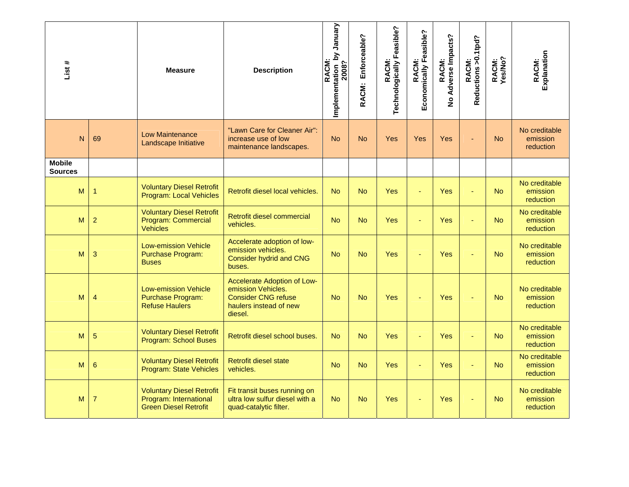| List#                           |                 | <b>Measure</b>                                                                             | <b>Description</b>                                                                                                   | Implementation_by January<br>2008?<br>RACM: | Enforceable?<br>RACM: | RACM:<br>Technologically Feasible? | Economically Feasible?<br><b>RACM:</b> | No Adverse Impacts?<br>RACM: | RACM:<br>Reductions >0.1tpd? | RACM:<br>Yes/No? | Explanation<br>RACM:                          |
|---------------------------------|-----------------|--------------------------------------------------------------------------------------------|----------------------------------------------------------------------------------------------------------------------|---------------------------------------------|-----------------------|------------------------------------|----------------------------------------|------------------------------|------------------------------|------------------|-----------------------------------------------|
| N                               | 69              | <b>Low Maintenance</b><br>Landscape Initiative                                             | "Lawn Care for Cleaner Air":<br>increase use of low<br>maintenance landscapes.                                       | <b>No</b>                                   | <b>No</b>             | <b>Yes</b>                         | Yes                                    | Yes                          |                              | <b>No</b>        | No creditable<br>emission<br>reduction        |
| <b>Mobile</b><br><b>Sources</b> |                 |                                                                                            |                                                                                                                      |                                             |                       |                                    |                                        |                              |                              |                  |                                               |
| M                               | 1               | <b>Voluntary Diesel Retrofit</b><br>Program: Local Vehicles                                | Retrofit diesel local vehicles.                                                                                      | <b>No</b>                                   | <b>No</b>             | <b>Yes</b>                         |                                        | Yes                          |                              | <b>No</b>        | No creditable<br>emission<br>reduction        |
| M                               | $\overline{2}$  | <b>Voluntary Diesel Retrofit</b><br>Program: Commercial<br><b>Vehicles</b>                 | Retrofit diesel commercial<br>vehicles.                                                                              | <b>No</b>                                   | <b>No</b>             | <b>Yes</b>                         | ä,                                     | Yes                          | ä,                           | <b>No</b>        | No creditable<br>emission<br>reduction        |
| M                               | 3               | <b>Low-emission Vehicle</b><br><b>Purchase Program:</b><br><b>Buses</b>                    | Accelerate adoption of low-<br>emission vehicles.<br><b>Consider hydrid and CNG</b><br>buses.                        | <b>No</b>                                   | <b>No</b>             | <b>Yes</b>                         | ÷,                                     | Yes                          |                              | <b>No</b>        | No creditable<br>emission<br><b>reduction</b> |
| M                               | $\overline{4}$  | <b>Low-emission Vehicle</b><br><b>Purchase Program:</b><br><b>Refuse Haulers</b>           | Accelerate Adoption of Low-<br>emission Vehicles.<br><b>Consider CNG refuse</b><br>haulers instead of new<br>diesel. | <b>No</b>                                   | <b>No</b>             | Yes                                |                                        | Yes                          |                              | <b>No</b>        | No creditable<br>emission<br><b>reduction</b> |
| M                               | 5               | <b>Voluntary Diesel Retrofit</b><br>Program: School Buses                                  | Retrofit diesel school buses.                                                                                        | <b>No</b>                                   | <b>No</b>             | <b>Yes</b>                         |                                        | Yes                          | ٠                            | <b>No</b>        | No creditable<br>emission<br>reduction        |
| M                               | $6\phantom{1}6$ | <b>Voluntary Diesel Retrofit</b><br>Program: State Vehicles                                | <b>Retrofit diesel state</b><br>vehicles.                                                                            | <b>No</b>                                   | <b>No</b>             | <b>Yes</b>                         | Ξ                                      | Yes                          | $\blacksquare$               | <b>No</b>        | No creditable<br>emission<br>reduction        |
| M                               | $\overline{7}$  | <b>Voluntary Diesel Retrofit</b><br>Program: International<br><b>Green Diesel Retrofit</b> | Fit transit buses running on<br>ultra low sulfur diesel with a<br>quad-catalytic filter.                             | <b>No</b>                                   | <b>No</b>             | Yes                                |                                        | Yes                          |                              | <b>No</b>        | No creditable<br>emission<br>reduction        |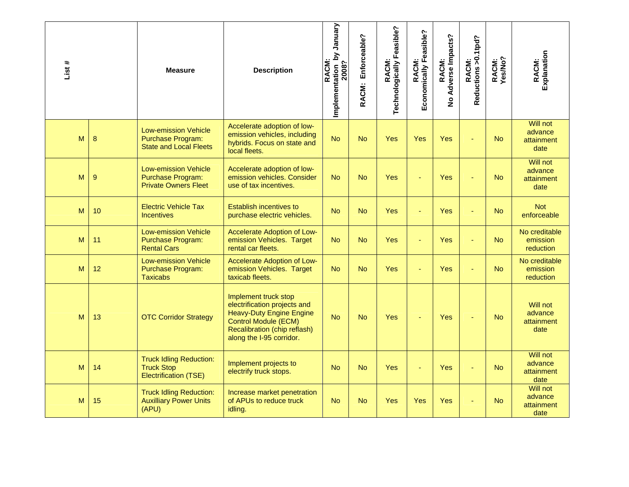| List # |    | <b>Measure</b>                                                                           | <b>Description</b>                                                                                                                                                                 | Vienual<br>Implementation by<br>2008?<br>RACM: | Enforceable?<br>RACM: | RACM:<br>Technologically Feasible? | Economically Feasible?<br>RACM: | Adverse Impacts?<br>RACM:<br>$\frac{9}{2}$ | Reductions >0.1tpd?<br>RACM: | RACM:<br>Yes/No? | Explanation<br>RACM:                             |
|--------|----|------------------------------------------------------------------------------------------|------------------------------------------------------------------------------------------------------------------------------------------------------------------------------------|------------------------------------------------|-----------------------|------------------------------------|---------------------------------|--------------------------------------------|------------------------------|------------------|--------------------------------------------------|
| M      | 8  | <b>Low-emission Vehicle</b><br><b>Purchase Program:</b><br><b>State and Local Fleets</b> | Accelerate adoption of low-<br>emission vehicles, including<br>hybrids. Focus on state and<br>local fleets.                                                                        | <b>No</b>                                      | <b>No</b>             | <b>Yes</b>                         | Yes                             | Yes                                        |                              | <b>No</b>        | <b>Will not</b><br>advance<br>attainment<br>date |
| M      | 9  | <b>Low-emission Vehicle</b><br><b>Purchase Program:</b><br><b>Private Owners Fleet</b>   | Accelerate adoption of low-<br>emission vehicles. Consider<br>use of tax incentives.                                                                                               | <b>No</b>                                      | <b>No</b>             | <b>Yes</b>                         | ÷,                              | Yes                                        |                              | <b>No</b>        | Will not<br>advance<br>attainment<br>date        |
| M      | 10 | <b>Electric Vehicle Tax</b><br><b>Incentives</b>                                         | <b>Establish incentives to</b><br>purchase electric vehicles.                                                                                                                      | <b>No</b>                                      | <b>No</b>             | Yes                                | ÷,                              | Yes                                        | ÷                            | <b>No</b>        | <b>Not</b><br>enforceable                        |
| M      | 11 | <b>Low-emission Vehicle</b><br><b>Purchase Program:</b><br><b>Rental Cars</b>            | Accelerate Adoption of Low-<br>emission Vehicles. Target<br>rental car fleets.                                                                                                     | <b>No</b>                                      | <b>No</b>             | <b>Yes</b>                         | ä,                              | Yes                                        | ÷                            | No.              | No creditable<br>emission<br>reduction           |
| M      | 12 | <b>Low-emission Vehicle</b><br><b>Purchase Program:</b><br><b>Taxicabs</b>               | Accelerate Adoption of Low-<br>emission Vehicles. Target<br>taxicab fleets.                                                                                                        | <b>No</b>                                      | <b>No</b>             | <b>Yes</b>                         | ÷,                              | Yes                                        | ÷.                           | <b>No</b>        | No creditable<br>emission<br>reduction           |
| M      | 13 | <b>OTC Corridor Strategy</b>                                                             | Implement truck stop<br>electrification projects and<br><b>Heavy-Duty Engine Engine</b><br><b>Control Module (ECM)</b><br>Recalibration (chip reflash)<br>along the I-95 corridor. | <b>No</b>                                      | <b>No</b>             | <b>Yes</b>                         |                                 | Yes                                        |                              | <b>No</b>        | Will not<br>advance<br>attainment<br>date        |
| M      | 14 | <b>Truck Idling Reduction:</b><br><b>Truck Stop</b><br><b>Electrification (TSE)</b>      | Implement projects to<br>electrify truck stops.                                                                                                                                    | <b>No</b>                                      | <b>No</b>             | Yes                                | Ξ                               | Yes                                        | ÷                            | <b>No</b>        | <b>Will not</b><br>advance<br>attainment<br>date |
| M      | 15 | <b>Truck Idling Reduction:</b><br><b>Auxilliary Power Units</b><br>(APU)                 | Increase market penetration<br>of APUs to reduce truck<br>idling.                                                                                                                  | <b>No</b>                                      | <b>No</b>             | <b>Yes</b>                         | Yes                             | Yes                                        |                              | <b>No</b>        | Will not<br>advance<br>attainment<br>date        |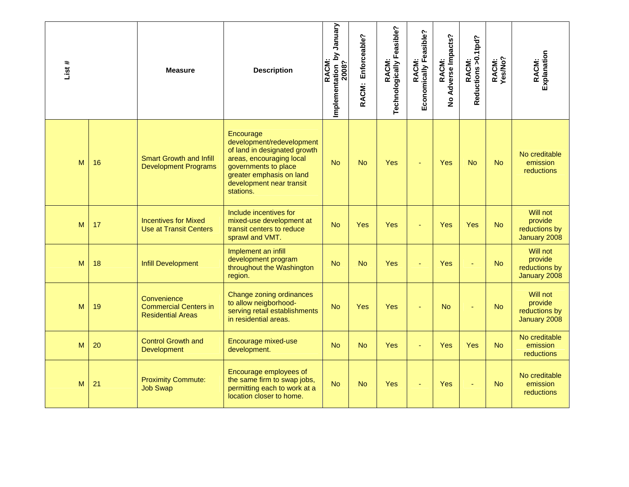| List # |    | <b>Measure</b>                                                          | <b>Description</b>                                                                                                                                                                              | January<br>Implementation by<br>2008?<br>RACM: | Enforceable?<br>RACM: | RACM:<br>Technologically Feasible? | Economically Feasible?<br><b>RACM:</b> | No Adverse Impacts?<br>RACM: | RACM:<br>Reductions >0.1tpd? | RACM:<br>Yes/No? | Explanation<br>RACM:                                 |
|--------|----|-------------------------------------------------------------------------|-------------------------------------------------------------------------------------------------------------------------------------------------------------------------------------------------|------------------------------------------------|-----------------------|------------------------------------|----------------------------------------|------------------------------|------------------------------|------------------|------------------------------------------------------|
| M      | 16 | <b>Smart Growth and Infill</b><br><b>Development Programs</b>           | Encourage<br>development/redevelopment<br>of land in designated growth<br>areas, encouraging local<br>governments to place<br>greater emphasis on land<br>development near transit<br>stations. | <b>No</b>                                      | <b>No</b>             | Yes                                | ÷,                                     | Yes                          | <b>No</b>                    | <b>No</b>        | No creditable<br>emission<br>reductions              |
| M      | 17 | <b>Incentives for Mixed</b><br><b>Use at Transit Centers</b>            | Include incentives for<br>mixed-use development at<br>transit centers to reduce<br>sprawl and VMT.                                                                                              | <b>No</b>                                      | <b>Yes</b>            | <b>Yes</b>                         | ÷,                                     | Yes                          | Yes                          | <b>No</b>        | Will not<br>provide<br>reductions by<br>January 2008 |
| M      | 18 | <b>Infill Development</b>                                               | Implement an infill<br>development program<br>throughout the Washington<br>region.                                                                                                              | <b>No</b>                                      | <b>No</b>             | <b>Yes</b>                         |                                        | Yes                          |                              | <b>No</b>        | Will not<br>provide<br>reductions by<br>January 2008 |
| M      | 19 | Convenience<br><b>Commercial Centers in</b><br><b>Residential Areas</b> | Change zoning ordinances<br>to allow neigborhood-<br>serving retail establishments<br>in residential areas.                                                                                     | <b>No</b>                                      | Yes                   | Yes                                |                                        | <b>No</b>                    |                              | <b>No</b>        | Will not<br>provide<br>reductions by<br>January 2008 |
| M      | 20 | <b>Control Growth and</b><br><b>Development</b>                         | Encourage mixed-use<br>development.                                                                                                                                                             | <b>No</b>                                      | <b>No</b>             | <b>Yes</b>                         |                                        | Yes                          | Yes                          | <b>No</b>        | No creditable<br>emission<br>reductions              |
| M      | 21 | <b>Proximity Commute:</b><br><b>Job Swap</b>                            | Encourage employees of<br>the same firm to swap jobs,<br>permitting each to work at a<br>location closer to home.                                                                               | <b>No</b>                                      | <b>No</b>             | <b>Yes</b>                         |                                        | Yes                          |                              | <b>No</b>        | No creditable<br>emission<br>reductions              |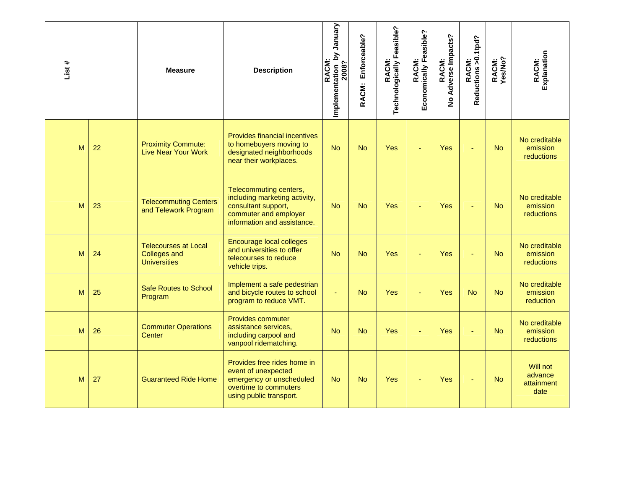| List # |    | <b>Measure</b>                                                            | <b>Description</b>                                                                                                                     | Vienuary<br>Implementation by<br>2008?<br>RACM: | Enforceable?<br>RACM: | RACM:<br>Technologically Feasible? | Economically Feasible?<br><b>RACM:</b> | Adverse Impacts?<br>RACM:<br>$\frac{9}{2}$ | RACM:<br>Reductions >0.1tpd? | RACM:<br>Yes/No? | Explanation<br>RACM:                           |
|--------|----|---------------------------------------------------------------------------|----------------------------------------------------------------------------------------------------------------------------------------|-------------------------------------------------|-----------------------|------------------------------------|----------------------------------------|--------------------------------------------|------------------------------|------------------|------------------------------------------------|
| M      | 22 | <b>Proximity Commute:</b><br><b>Live Near Your Work</b>                   | <b>Provides financial incentives</b><br>to homebuyers moving to<br>designated neighborhoods<br>near their workplaces.                  | <b>No</b>                                       | <b>No</b>             | Yes                                |                                        | Yes                                        |                              | <b>No</b>        | No creditable<br>emission<br><b>reductions</b> |
| M      | 23 | <b>Telecommuting Centers</b><br>and Telework Program                      | Telecommuting centers,<br>including marketing activity,<br>consultant support,<br>commuter and employer<br>information and assistance. | <b>No</b>                                       | <b>No</b>             | Yes                                |                                        | Yes                                        |                              | <b>No</b>        | No creditable<br>emission<br>reductions        |
| M      | 24 | <b>Telecourses at Local</b><br><b>Colleges and</b><br><b>Universities</b> | Encourage local colleges<br>and universities to offer<br>telecourses to reduce<br>vehicle trips.                                       | <b>No</b>                                       | <b>No</b>             | Yes                                |                                        | Yes                                        |                              | <b>No</b>        | No creditable<br>emission<br><b>reductions</b> |
| M      | 25 | <b>Safe Routes to School</b><br>Program                                   | Implement a safe pedestrian<br>and bicycle routes to school<br>program to reduce VMT.                                                  | ä,                                              | <b>No</b>             | <b>Yes</b>                         |                                        | Yes                                        | <b>No</b>                    | <b>No</b>        | No creditable<br>emission<br>reduction         |
| M      | 26 | <b>Commuter Operations</b><br>Center                                      | <b>Provides commuter</b><br>assistance services,<br>including carpool and<br>vanpool ridematching.                                     | <b>No</b>                                       | <b>No</b>             | <b>Yes</b>                         |                                        | Yes                                        |                              | <b>No</b>        | No creditable<br>emission<br>reductions        |
| M      | 27 | <b>Guaranteed Ride Home</b>                                               | Provides free rides home in<br>event of unexpected<br>emergency or unscheduled<br>overtime to commuters<br>using public transport.     | <b>No</b>                                       | <b>No</b>             | <b>Yes</b>                         |                                        | Yes                                        |                              | <b>No</b>        | Will not<br>advance<br>attainment<br>date      |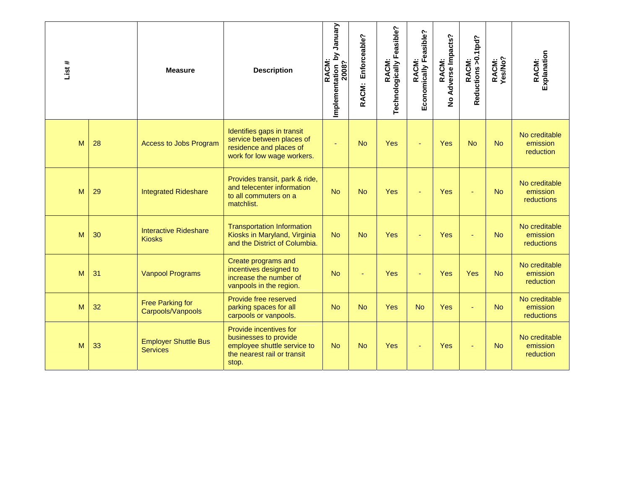| List# |    | <b>Measure</b>                                 | <b>Description</b>                                                                                                     | <b>Alenuer Aq</b><br>RACM:<br>Implementation 1<br>2008? | Enforceable?<br>RACM: | Technologically Feasible?<br>RACM: | Economically Feasible?<br>RACM: | Adverse Impacts?<br>RACM:<br>$\overline{2}$ | RACM:<br>Reductions >0.1tpd? | RACM:<br>Yes/No? | Explanation<br>RACM:                           |
|-------|----|------------------------------------------------|------------------------------------------------------------------------------------------------------------------------|---------------------------------------------------------|-----------------------|------------------------------------|---------------------------------|---------------------------------------------|------------------------------|------------------|------------------------------------------------|
| M     | 28 | <b>Access to Jobs Program</b>                  | Identifies gaps in transit<br>service between places of<br>residence and places of<br>work for low wage workers.       |                                                         | <b>No</b>             | Yes                                |                                 | Yes                                         | <b>No</b>                    | <b>No</b>        | No creditable<br>emission<br>reduction         |
| M     | 29 | <b>Integrated Rideshare</b>                    | Provides transit, park & ride,<br>and telecenter information<br>to all commuters on a<br>matchlist.                    | <b>No</b>                                               | <b>No</b>             | Yes                                | ÷,                              | Yes                                         |                              | <b>No</b>        | No creditable<br>emission<br><b>reductions</b> |
| M     | 30 | <b>Interactive Rideshare</b><br><b>Kiosks</b>  | <b>Transportation Information</b><br>Kiosks in Maryland, Virginia<br>and the District of Columbia.                     | <b>No</b>                                               | <b>No</b>             | Yes                                |                                 | Yes                                         |                              | <b>No</b>        | No creditable<br>emission<br><b>reductions</b> |
| M     | 31 | <b>Vanpool Programs</b>                        | Create programs and<br>incentives designed to<br>increase the number of<br>vanpools in the region.                     | <b>No</b>                                               |                       | Yes                                |                                 | Yes                                         | Yes                          | <b>No</b>        | No creditable<br>emission<br>reduction         |
| M     | 32 | <b>Free Parking for</b><br>Carpools/Vanpools   | Provide free reserved<br>parking spaces for all<br>carpools or vanpools.                                               | <b>No</b>                                               | <b>No</b>             | Yes                                | <b>No</b>                       | Yes                                         |                              | <b>No</b>        | No creditable<br>emission<br>reductions        |
| M     | 33 | <b>Employer Shuttle Bus</b><br><b>Services</b> | Provide incentives for<br>businesses to provide<br>employee shuttle service to<br>the nearest rail or transit<br>stop. | <b>No</b>                                               | <b>No</b>             | Yes                                | ä,                              | <b>Yes</b>                                  |                              | <b>No</b>        | No creditable<br>emission<br>reduction         |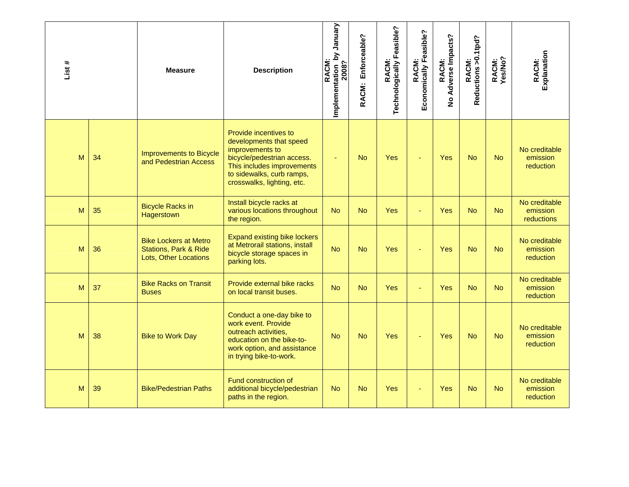| List # |    | <b>Measure</b>                                                                            | <b>Description</b>                                                                                                                                                                         | January<br>Implementation by<br>2008?<br>RACM: | Enforceable?<br>RACM: | RACM:<br>Technologically Feasible? | Economically Feasible?<br><b>RACM:</b> | No Adverse Impacts?<br>RACM: | RACM:<br>Reductions >0.1tpd? | RACM:<br>Yes/No? | Explanation<br>RACM:                          |
|--------|----|-------------------------------------------------------------------------------------------|--------------------------------------------------------------------------------------------------------------------------------------------------------------------------------------------|------------------------------------------------|-----------------------|------------------------------------|----------------------------------------|------------------------------|------------------------------|------------------|-----------------------------------------------|
| M      | 34 | <b>Improvements to Bicycle</b><br>and Pedestrian Access                                   | Provide incentives to<br>developments that speed<br>improvements to<br>bicycle/pedestrian access.<br>This includes improvements<br>to sidewalks, curb ramps,<br>crosswalks, lighting, etc. | Ξ                                              | <b>No</b>             | Yes                                |                                        | Yes                          | <b>No</b>                    | <b>No</b>        | No creditable<br>emission<br><b>reduction</b> |
| M      | 35 | <b>Bicycle Racks in</b><br>Hagerstown                                                     | Install bicycle racks at<br>various locations throughout<br>the region.                                                                                                                    | <b>No</b>                                      | <b>No</b>             | <b>Yes</b>                         |                                        | Yes                          | <b>No</b>                    | <b>No</b>        | No creditable<br>emission<br>reductions       |
| M      | 36 | <b>Bike Lockers at Metro</b><br><b>Stations, Park &amp; Ride</b><br>Lots, Other Locations | <b>Expand existing bike lockers</b><br>at Metrorail stations, install<br>bicycle storage spaces in<br>parking lots.                                                                        | <b>No</b>                                      | <b>No</b>             | <b>Yes</b>                         |                                        | Yes                          | <b>No</b>                    | <b>No</b>        | No creditable<br>emission<br><b>reduction</b> |
| M      | 37 | <b>Bike Racks on Transit</b><br><b>Buses</b>                                              | Provide external bike racks<br>on local transit buses.                                                                                                                                     | <b>No</b>                                      | <b>No</b>             | <b>Yes</b>                         |                                        | Yes                          | <b>No</b>                    | <b>No</b>        | No creditable<br>emission<br>reduction        |
| M      | 38 | <b>Bike to Work Day</b>                                                                   | Conduct a one-day bike to<br>work event. Provide<br>outreach activities,<br>education on the bike-to-<br>work option, and assistance<br>in trying bike-to-work.                            | <b>No</b>                                      | <b>No</b>             | <b>Yes</b>                         | ÷                                      | Yes                          | <b>No</b>                    | <b>No</b>        | No creditable<br>emission<br><b>reduction</b> |
| M      | 39 | <b>Bike/Pedestrian Paths</b>                                                              | Fund construction of<br>additional bicycle/pedestrian<br>paths in the region.                                                                                                              | <b>No</b>                                      | <b>No</b>             | <b>Yes</b>                         |                                        | Yes                          | <b>No</b>                    | <b>No</b>        | No creditable<br>emission<br>reduction        |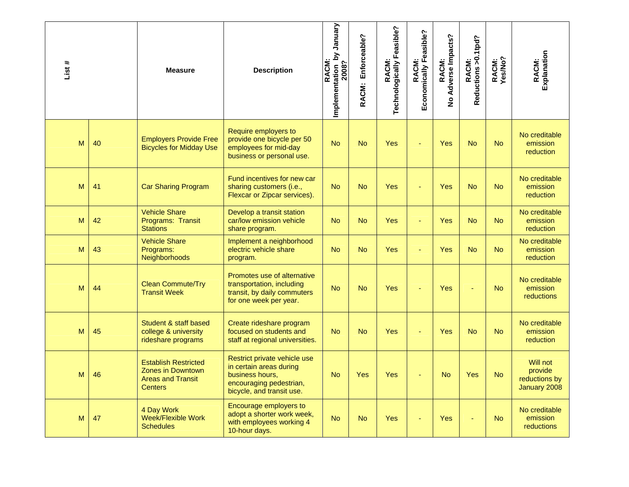| List # |    | <b>Measure</b>                                                                                        | <b>Description</b>                                                                                                                 | January<br>Σ<br>Implementation 1<br>2008?<br>RACM: | Enforceable?<br>RACM: | Technologically Feasible?<br>RACM: | Economically Feasible?<br><b>RACM:</b> | Adverse Impacts?<br>RACM:<br>$\frac{1}{2}$ | Reductions > 0.1tpd?<br>RACM: | RACM:<br>Yes/No? | Explanation<br>RACM:                                 |
|--------|----|-------------------------------------------------------------------------------------------------------|------------------------------------------------------------------------------------------------------------------------------------|----------------------------------------------------|-----------------------|------------------------------------|----------------------------------------|--------------------------------------------|-------------------------------|------------------|------------------------------------------------------|
| M      | 40 | <b>Employers Provide Free</b><br><b>Bicycles for Midday Use</b>                                       | Require employers to<br>provide one bicycle per 50<br>employees for mid-day<br>business or personal use.                           | <b>No</b>                                          | <b>No</b>             | Yes                                |                                        | <b>Yes</b>                                 | <b>No</b>                     | <b>No</b>        | No creditable<br>emission<br>reduction               |
| M      | 41 | <b>Car Sharing Program</b>                                                                            | Fund incentives for new car<br>sharing customers (i.e.,<br>Flexcar or Zipcar services).                                            | <b>No</b>                                          | <b>No</b>             | Yes                                | ÷                                      | Yes                                        | <b>No</b>                     | <b>No</b>        | No creditable<br>emission<br>reduction               |
| M      | 42 | <b>Vehicle Share</b><br>Programs: Transit<br><b>Stations</b>                                          | Develop a transit station<br>car/low emission vehicle<br>share program.                                                            | <b>No</b>                                          | <b>No</b>             | Yes                                | ÷                                      | Yes                                        | N <sub>o</sub>                | <b>No</b>        | No creditable<br>emission<br>reduction               |
| M      | 43 | <b>Vehicle Share</b><br>Programs:<br>Neighborhoods                                                    | Implement a neighborhood<br>electric vehicle share<br>program.                                                                     | <b>No</b>                                          | <b>No</b>             | Yes                                |                                        | <b>Yes</b>                                 | <b>No</b>                     | <b>No</b>        | No creditable<br>emission<br>reduction               |
| M      | 44 | <b>Clean Commute/Try</b><br><b>Transit Week</b>                                                       | Promotes use of alternative<br>transportation, including<br>transit, by daily commuters<br>for one week per year.                  | <b>No</b>                                          | <b>No</b>             | Yes                                |                                        | Yes                                        |                               | <b>No</b>        | No creditable<br>emission<br>reductions              |
| M      | 45 | Student & staff based<br>college & university<br>rideshare programs                                   | Create rideshare program<br>focused on students and<br>staff at regional universities.                                             | <b>No</b>                                          | <b>No</b>             | Yes                                |                                        | <b>Yes</b>                                 | <b>No</b>                     | N <sub>o</sub>   | No creditable<br>emission<br>reduction               |
| M      | 46 | <b>Establish Restricted</b><br><b>Zones in Downtown</b><br><b>Areas and Transit</b><br><b>Centers</b> | Restrict private vehicle use<br>in certain areas during<br>business hours,<br>encouraging pedestrian,<br>bicycle, and transit use. | <b>No</b>                                          | Yes                   | Yes                                |                                        | <b>No</b>                                  | Yes                           | <b>No</b>        | Will not<br>provide<br>reductions by<br>January 2008 |
| M      | 47 | 4 Day Work<br>Week/Flexible Work<br><b>Schedules</b>                                                  | Encourage employers to<br>adopt a shorter work week,<br>with employees working 4<br>10-hour days.                                  | <b>No</b>                                          | <b>No</b>             | Yes                                |                                        | <b>Yes</b>                                 |                               | <b>No</b>        | No creditable<br>emission<br>reductions              |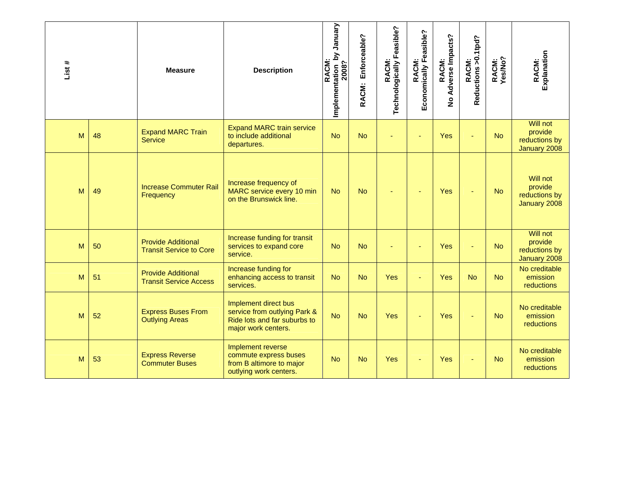| List # |    | <b>Measure</b>                                              | <b>Description</b>                                                                                          | <b>Alenuer Kq</b><br>RACM:<br>Implementation 1<br>2008? | Enforceable?<br>RACM: | RACM:<br>echnologically Feasible? | Economically Feasible?<br>RACM: | Adverse Impacts?<br>RACM:<br>$\frac{8}{5}$ | RACM:<br>Reductions >0.1tpd? | RACM:<br>Yes/No? | Explanation<br>RACM:                                 |
|--------|----|-------------------------------------------------------------|-------------------------------------------------------------------------------------------------------------|---------------------------------------------------------|-----------------------|-----------------------------------|---------------------------------|--------------------------------------------|------------------------------|------------------|------------------------------------------------------|
| M      | 48 | <b>Expand MARC Train</b><br><b>Service</b>                  | <b>Expand MARC train service</b><br>to include additional<br>departures.                                    | <b>No</b>                                               | <b>No</b>             |                                   |                                 | Yes                                        |                              | <b>No</b>        | Will not<br>provide<br>reductions by<br>January 2008 |
| M      | 49 | <b>Increase Commuter Rail</b><br>Frequency                  | Increase frequency of<br>MARC service every 10 min<br>on the Brunswick line.                                | <b>No</b>                                               | <b>No</b>             |                                   | ٠                               | Yes                                        |                              | <b>No</b>        | Will not<br>provide<br>reductions by<br>January 2008 |
| M      | 50 | <b>Provide Additional</b><br><b>Transit Service to Core</b> | Increase funding for transit<br>services to expand core<br>service.                                         | <b>No</b>                                               | <b>No</b>             |                                   | ÷                               | Yes                                        |                              | <b>No</b>        | Will not<br>provide<br>reductions by<br>January 2008 |
| M      | 51 | <b>Provide Additional</b><br><b>Transit Service Access</b>  | Increase funding for<br>enhancing access to transit<br>services.                                            | <b>No</b>                                               | <b>No</b>             | Yes                               | ä,                              | Yes                                        | <b>No</b>                    | <b>No</b>        | No creditable<br>emission<br>reductions              |
| M      | 52 | <b>Express Buses From</b><br><b>Outlying Areas</b>          | Implement direct bus<br>service from outlying Park &<br>Ride lots and far suburbs to<br>major work centers. | <b>No</b>                                               | <b>No</b>             | Yes                               |                                 | Yes                                        |                              | <b>No</b>        | No creditable<br>emission<br><b>reductions</b>       |
| M      | 53 | <b>Express Reverse</b><br><b>Commuter Buses</b>             | Implement reverse<br>commute express buses<br>from B altimore to major<br>outlying work centers.            | <b>No</b>                                               | <b>No</b>             | Yes                               | ٠                               | Yes                                        |                              | <b>No</b>        | No creditable<br>emission<br>reductions              |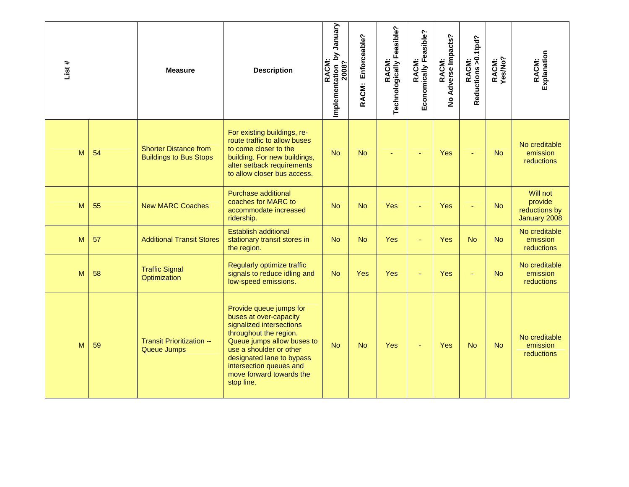| List # |    | <b>Measure</b>                                                | <b>Description</b>                                                                                                                                                                                                                                                 | January<br>Implementation by<br>2008?<br>RACM: | Enforceable?<br>RACM: | RACM:<br>Technologically Feasible? | Economically Feasible?<br><b>RACM:</b> | No Adverse Impacts?<br>RACM: | RACM:<br>Reductions >0.1tpd? | RACM:<br>Yes/No? | Explanation<br>RACM:                                 |
|--------|----|---------------------------------------------------------------|--------------------------------------------------------------------------------------------------------------------------------------------------------------------------------------------------------------------------------------------------------------------|------------------------------------------------|-----------------------|------------------------------------|----------------------------------------|------------------------------|------------------------------|------------------|------------------------------------------------------|
| M      | 54 | <b>Shorter Distance from</b><br><b>Buildings to Bus Stops</b> | For existing buildings, re-<br>route traffic to allow buses<br>to come closer to the<br>building. For new buildings,<br>alter setback requirements<br>to allow closer bus access.                                                                                  | <b>No</b>                                      | <b>No</b>             |                                    |                                        | Yes                          |                              | <b>No</b>        | No creditable<br>emission<br><b>reductions</b>       |
| M      | 55 | <b>New MARC Coaches</b>                                       | <b>Purchase additional</b><br>coaches for MARC to<br>accommodate increased<br>ridership.                                                                                                                                                                           | <b>No</b>                                      | <b>No</b>             | Yes                                |                                        | Yes                          |                              | <b>No</b>        | Will not<br>provide<br>reductions by<br>January 2008 |
| M      | 57 | <b>Additional Transit Stores</b>                              | <b>Establish additional</b><br>stationary transit stores in<br>the region.                                                                                                                                                                                         | <b>No</b>                                      | <b>No</b>             | <b>Yes</b>                         |                                        | Yes                          | <b>No</b>                    | <b>No</b>        | No creditable<br>emission<br>reductions              |
| M      | 58 | <b>Traffic Signal</b><br>Optimization                         | Regularly optimize traffic<br>signals to reduce idling and<br>low-speed emissions.                                                                                                                                                                                 | <b>No</b>                                      | Yes                   | Yes                                |                                        | Yes                          |                              | <b>No</b>        | No creditable<br>emission<br><b>reductions</b>       |
| M      | 59 | Transit Prioritization --<br><b>Queue Jumps</b>               | Provide queue jumps for<br>buses at over-capacity<br>signalized intersections<br>throughout the region.<br>Queue jumps allow buses to<br>use a shoulder or other<br>designated lane to bypass<br>intersection queues and<br>move forward towards the<br>stop line. | <b>No</b>                                      | <b>No</b>             | Yes                                | ÷                                      | Yes                          | <b>No</b>                    | <b>No</b>        | No creditable<br>emission<br><b>reductions</b>       |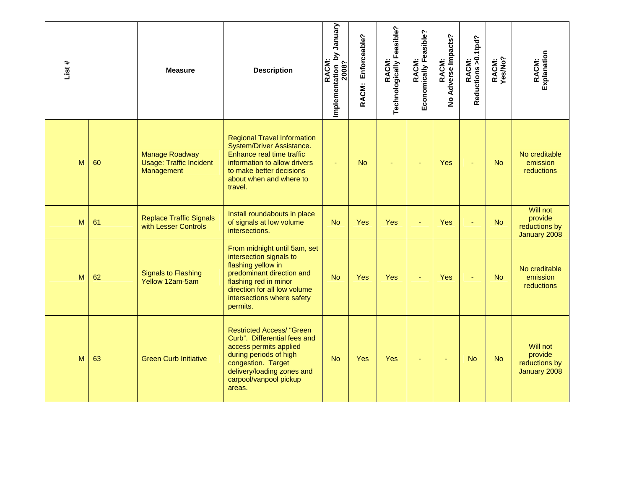| List # |    | <b>Measure</b>                                                        | <b>Description</b>                                                                                                                                                                                            | January<br>Σ<br>RACM:<br>Implementation 1<br>2008? | Enforceable?<br>RACM: | Technologically Feasible?<br>RACM: | Economically Feasible?<br><b>RACM:</b> | Adverse Impacts?<br>RACM:<br>$\frac{9}{2}$ | RACM:<br>Reductions >0.1tpd? | RACM:<br>Yes/No? | Explanation<br>RACM:                                 |
|--------|----|-----------------------------------------------------------------------|---------------------------------------------------------------------------------------------------------------------------------------------------------------------------------------------------------------|----------------------------------------------------|-----------------------|------------------------------------|----------------------------------------|--------------------------------------------|------------------------------|------------------|------------------------------------------------------|
| M      | 60 | <b>Manage Roadway</b><br><b>Usage: Traffic Incident</b><br>Management | <b>Regional Travel Information</b><br>System/Driver Assistance.<br>Enhance real time traffic<br>information to allow drivers<br>to make better decisions<br>about when and where to<br>travel.                | ٠                                                  | <b>No</b>             |                                    |                                        | Yes                                        |                              | <b>No</b>        | No creditable<br>emission<br><b>reductions</b>       |
| M      | 61 | <b>Replace Traffic Signals</b><br>with Lesser Controls                | Install roundabouts in place<br>of signals at low volume<br>intersections.                                                                                                                                    | <b>No</b>                                          | <b>Yes</b>            | <b>Yes</b>                         |                                        | Yes                                        |                              | <b>No</b>        | Will not<br>provide<br>reductions by<br>January 2008 |
| M      | 62 | <b>Signals to Flashing</b><br>Yellow 12am-5am                         | From midnight until 5am, set<br>intersection signals to<br>flashing yellow in<br>predominant direction and<br>flashing red in minor<br>direction for all low volume<br>intersections where safety<br>permits. | <b>No</b>                                          | Yes                   | Yes                                |                                        | Yes                                        |                              | <b>No</b>        | No creditable<br>emission<br>reductions              |
| M      | 63 | <b>Green Curb Initiative</b>                                          | <b>Restricted Access/ "Green</b><br>Curb". Differential fees and<br>access permits applied<br>during periods of high<br>congestion. Target<br>delivery/loading zones and<br>carpool/vanpool pickup<br>areas.  | <b>No</b>                                          | <b>Yes</b>            | Yes                                | ٠                                      | ٠                                          | <b>No</b>                    | <b>No</b>        | Will not<br>provide<br>reductions by<br>January 2008 |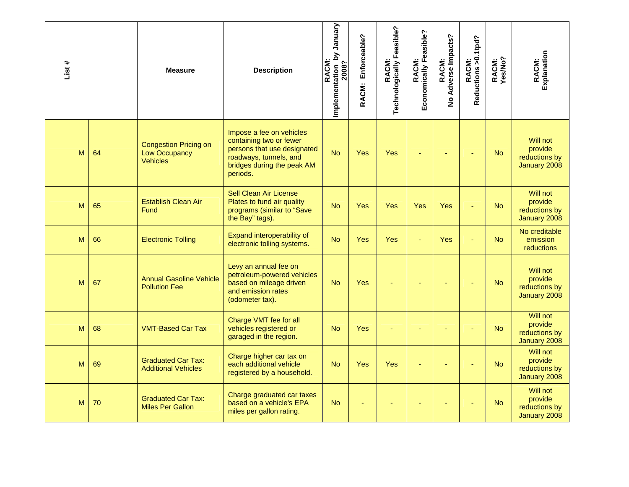| List# |    | <b>Measure</b>                                                          | <b>Description</b>                                                                                                                                     | Implementation by January<br>2008?<br>RACM: | Enforceable?<br>RACM: | RACM:<br>Technologically Feasible? | Economically Feasible?<br>RACM: | RACM:<br>No Adverse Impacts? | Reductions > 0.1tpd?<br>RACM: | RACM:<br>Yes/No? | Explanation<br>RACM:                                 |
|-------|----|-------------------------------------------------------------------------|--------------------------------------------------------------------------------------------------------------------------------------------------------|---------------------------------------------|-----------------------|------------------------------------|---------------------------------|------------------------------|-------------------------------|------------------|------------------------------------------------------|
| M     | 64 | <b>Congestion Pricing on</b><br><b>Low Occupancy</b><br><b>Vehicles</b> | Impose a fee on vehicles<br>containing two or fewer<br>persons that use designated<br>roadways, tunnels, and<br>bridges during the peak AM<br>periods. | <b>No</b>                                   | Yes                   | Yes                                |                                 |                              |                               | <b>No</b>        | Will not<br>provide<br>reductions by<br>January 2008 |
| M     | 65 | <b>Establish Clean Air</b><br>Fund                                      | <b>Sell Clean Air License</b><br>Plates to fund air quality<br>programs (similar to "Save<br>the Bay" tags).                                           | <b>No</b>                                   | Yes                   | Yes                                | Yes                             | Yes                          |                               | <b>No</b>        | Will not<br>provide<br>reductions by<br>January 2008 |
| M     | 66 | <b>Electronic Tolling</b>                                               | Expand interoperability of<br>electronic tolling systems.                                                                                              | <b>No</b>                                   | <b>Yes</b>            | <b>Yes</b>                         | ä,                              | Yes                          |                               | <b>No</b>        | No creditable<br>emission<br><b>reductions</b>       |
| M     | 67 | <b>Annual Gasoline Vehicle</b><br><b>Pollution Fee</b>                  | Levy an annual fee on<br>petroleum-powered vehicles<br>based on mileage driven<br>and emission rates<br>(odometer tax).                                | <b>No</b>                                   | Yes                   |                                    |                                 |                              |                               | <b>No</b>        | Will not<br>provide<br>reductions by<br>January 2008 |
| M     | 68 | <b>VMT-Based Car Tax</b>                                                | Charge VMT fee for all<br>vehicles registered or<br>garaged in the region.                                                                             | <b>No</b>                                   | <b>Yes</b>            |                                    |                                 |                              |                               | <b>No</b>        | Will not<br>provide<br>reductions by<br>January 2008 |
| M     | 69 | <b>Graduated Car Tax:</b><br><b>Additional Vehicles</b>                 | Charge higher car tax on<br>each additional vehicle<br>registered by a household.                                                                      | <b>No</b>                                   | Yes                   | <b>Yes</b>                         |                                 |                              |                               | <b>No</b>        | Will not<br>provide<br>reductions by<br>January 2008 |
| M     | 70 | <b>Graduated Car Tax:</b><br><b>Miles Per Gallon</b>                    | Charge graduated car taxes<br>based on a vehicle's EPA<br>miles per gallon rating.                                                                     | <b>No</b>                                   |                       |                                    |                                 |                              |                               | <b>No</b>        | Will not<br>provide<br>reductions by<br>January 2008 |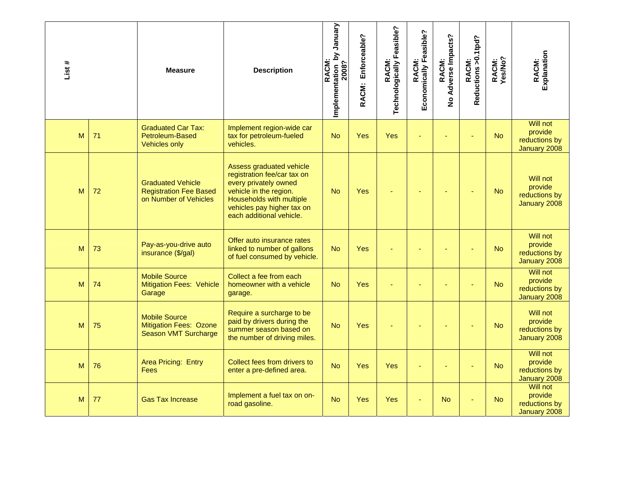| List# |    | <b>Measure</b>                                                                     | <b>Description</b>                                                                                                                                                                               | Vienual<br>Implementation by<br>2008?<br><b>RACM</b> | Enforceable?<br>RACM: | RACM:<br>Technologically Feasible? | Economically Feasible?<br>RACM: | No Adverse Impacts?<br>RACM: | RACM:<br>Reductions >0.1tpd? | RACM:<br>Yes/No? | Explanation<br>RACM:                                        |
|-------|----|------------------------------------------------------------------------------------|--------------------------------------------------------------------------------------------------------------------------------------------------------------------------------------------------|------------------------------------------------------|-----------------------|------------------------------------|---------------------------------|------------------------------|------------------------------|------------------|-------------------------------------------------------------|
| M     | 71 | <b>Graduated Car Tax:</b><br>Petroleum-Based<br><b>Vehicles only</b>               | Implement region-wide car<br>tax for petroleum-fueled<br>vehicles.                                                                                                                               | <b>No</b>                                            | Yes                   | <b>Yes</b>                         |                                 |                              |                              | <b>No</b>        | <b>Will not</b><br>provide<br>reductions by<br>January 2008 |
| M     | 72 | <b>Graduated Vehicle</b><br><b>Registration Fee Based</b><br>on Number of Vehicles | Assess graduated vehicle<br>registration fee/car tax on<br>every privately owned<br>vehicle in the region.<br>Households with multiple<br>vehicles pay higher tax on<br>each additional vehicle. | <b>No</b>                                            | Yes                   |                                    |                                 |                              |                              | <b>No</b>        | Will not<br>provide<br>reductions by<br>January 2008        |
| M     | 73 | Pay-as-you-drive auto<br>insurance (\$/gal)                                        | Offer auto insurance rates<br>linked to number of gallons<br>of fuel consumed by vehicle.                                                                                                        | <b>No</b>                                            | Yes                   |                                    |                                 |                              |                              | <b>No</b>        | Will not<br>provide<br>reductions by<br>January 2008        |
| M     | 74 | <b>Mobile Source</b><br><b>Mitigation Fees: Vehicle</b><br>Garage                  | Collect a fee from each<br>homeowner with a vehicle<br>garage.                                                                                                                                   | <b>No</b>                                            | Yes                   |                                    |                                 |                              |                              | <b>No</b>        | <b>Will not</b><br>provide<br>reductions by<br>January 2008 |
| M     | 75 | <b>Mobile Source</b><br><b>Mitigation Fees: Ozone</b><br>Season VMT Surcharge      | Require a surcharge to be<br>paid by drivers during the<br>summer season based on<br>the number of driving miles.                                                                                | <b>No</b>                                            | Yes                   |                                    |                                 |                              |                              | <b>No</b>        | Will not<br>provide<br>reductions by<br>January 2008        |
| M     | 76 | Area Pricing: Entry<br>Fees                                                        | Collect fees from drivers to<br>enter a pre-defined area.                                                                                                                                        | <b>No</b>                                            | Yes                   | Yes                                |                                 |                              |                              | <b>No</b>        | <b>Will not</b><br>provide<br>reductions by<br>January 2008 |
| M     | 77 | <b>Gas Tax Increase</b>                                                            | Implement a fuel tax on on-<br>road gasoline.                                                                                                                                                    | <b>No</b>                                            | Yes                   | <b>Yes</b>                         | ÷                               | <b>No</b>                    |                              | <b>No</b>        | <b>Will not</b><br>provide<br>reductions by<br>January 2008 |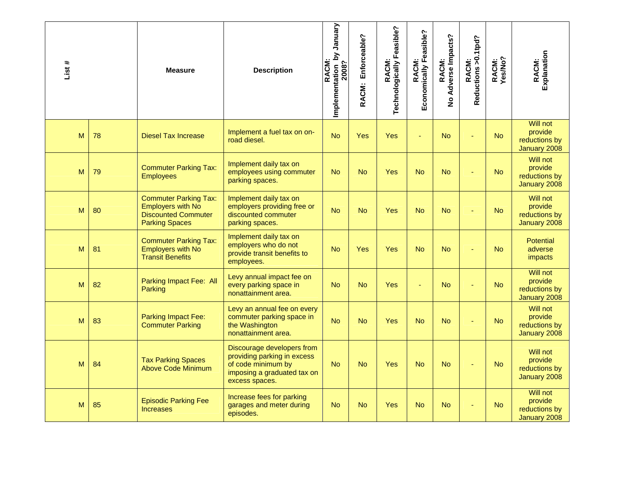| List# |    | <b>Measure</b>                                                                                                  | <b>Description</b>                                                                                                               | Implementation by January<br>2008?<br><b>RACM</b> | Enforceable?<br>RACM: | RACM:<br>Technologically Feasible? | Economically Feasible?<br>RACM: | RACM:<br>Adverse Impacts?<br>$\frac{9}{2}$ | Reductions > 0.1tpd?<br>RACM: | RACM:<br>Yes/No? | RACM:<br>Explanation                                        |
|-------|----|-----------------------------------------------------------------------------------------------------------------|----------------------------------------------------------------------------------------------------------------------------------|---------------------------------------------------|-----------------------|------------------------------------|---------------------------------|--------------------------------------------|-------------------------------|------------------|-------------------------------------------------------------|
| M     | 78 | <b>Diesel Tax Increase</b>                                                                                      | Implement a fuel tax on on-<br>road diesel.                                                                                      | <b>No</b>                                         | Yes                   | <b>Yes</b>                         | ä,                              | <b>No</b>                                  |                               | <b>No</b>        | <b>Will not</b><br>provide<br>reductions by<br>January 2008 |
| M     | 79 | <b>Commuter Parking Tax:</b><br><b>Employees</b>                                                                | Implement daily tax on<br>employees using commuter<br>parking spaces.                                                            | <b>No</b>                                         | <b>No</b>             | <b>Yes</b>                         | <b>No</b>                       | <b>No</b>                                  |                               | <b>No</b>        | Will not<br>provide<br>reductions by<br>January 2008        |
| M     | 80 | <b>Commuter Parking Tax:</b><br><b>Employers with No</b><br><b>Discounted Commuter</b><br><b>Parking Spaces</b> | Implement daily tax on<br>employers providing free or<br>discounted commuter<br>parking spaces.                                  | <b>No</b>                                         | <b>No</b>             | Yes                                | <b>No</b>                       | <b>No</b>                                  |                               | <b>No</b>        | Will not<br>provide<br>reductions by<br>January 2008        |
| M     | 81 | <b>Commuter Parking Tax:</b><br><b>Employers with No</b><br><b>Transit Benefits</b>                             | Implement daily tax on<br>employers who do not<br>provide transit benefits to<br>employees.                                      | <b>No</b>                                         | Yes                   | Yes                                | <b>No</b>                       | <b>No</b>                                  |                               | <b>No</b>        | <b>Potential</b><br>adverse<br>impacts                      |
| M     | 82 | Parking Impact Fee: All<br>Parking                                                                              | Levy annual impact fee on<br>every parking space in<br>nonattainment area.                                                       | <b>No</b>                                         | <b>No</b>             | <b>Yes</b>                         | ÷,                              | <b>No</b>                                  |                               | <b>No</b>        | <b>Will not</b><br>provide<br>reductions by<br>January 2008 |
| M     | 83 | <b>Parking Impact Fee:</b><br><b>Commuter Parking</b>                                                           | Levy an annual fee on every<br>commuter parking space in<br>the Washington<br>nonattainment area.                                | <b>No</b>                                         | <b>No</b>             | <b>Yes</b>                         | <b>No</b>                       | <b>No</b>                                  |                               | <b>No</b>        | Will not<br>provide<br>reductions by<br>January 2008        |
| M     | 84 | <b>Tax Parking Spaces</b><br><b>Above Code Minimum</b>                                                          | Discourage developers from<br>providing parking in excess<br>of code minimum by<br>imposing a graduated tax on<br>excess spaces. | <b>No</b>                                         | <b>No</b>             | <b>Yes</b>                         | <b>No</b>                       | No.                                        |                               | <b>No</b>        | Will not<br>provide<br>reductions by<br>January 2008        |
| M     | 85 | <b>Episodic Parking Fee</b><br><b>Increases</b>                                                                 | Increase fees for parking<br>garages and meter during<br>episodes.                                                               | <b>No</b>                                         | <b>No</b>             | <b>Yes</b>                         | <b>No</b>                       | No                                         |                               | <b>No</b>        | <b>Will not</b><br>provide<br>reductions by<br>January 2008 |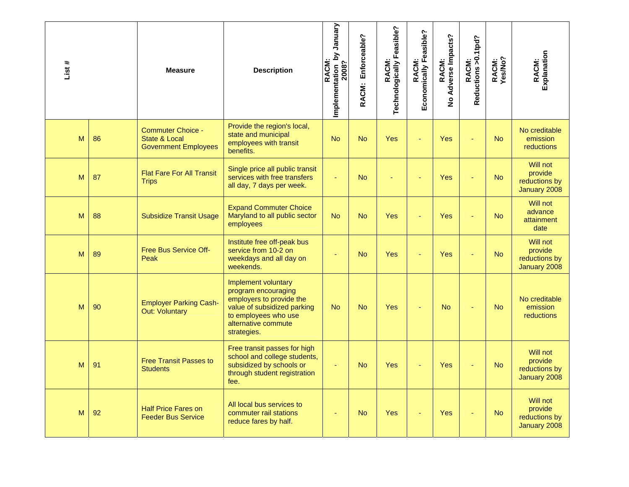| List# |    | <b>Measure</b>                                                           | <b>Description</b>                                                                                                                                                  | Implementation by January<br>2008?<br><b>RACM</b> | Enforceable?<br>RACM: | RACM:<br>Technologically Feasible? | Economically Feasible?<br><b>RACM:</b> | RACM:<br>No Adverse Impacts? | RACM:<br>Reductions >0.1tpd? | RACM:<br>Yes/No? | Explanation<br>RACM:                                 |
|-------|----|--------------------------------------------------------------------------|---------------------------------------------------------------------------------------------------------------------------------------------------------------------|---------------------------------------------------|-----------------------|------------------------------------|----------------------------------------|------------------------------|------------------------------|------------------|------------------------------------------------------|
| M     | 86 | <b>Commuter Choice -</b><br>State & Local<br><b>Government Employees</b> | Provide the region's local,<br>state and municipal<br>employees with transit<br>benefits.                                                                           | <b>No</b>                                         | <b>No</b>             | Yes                                |                                        | Yes                          |                              | <b>No</b>        | No creditable<br>emission<br><b>reductions</b>       |
| M     | 87 | <b>Flat Fare For All Transit</b><br><b>Trips</b>                         | Single price all public transit<br>services with free transfers<br>all day, 7 days per week.                                                                        |                                                   | <b>No</b>             |                                    |                                        | Yes                          |                              | <b>No</b>        | Will not<br>provide<br>reductions by<br>January 2008 |
| M     | 88 | <b>Subsidize Transit Usage</b>                                           | <b>Expand Commuter Choice</b><br>Maryland to all public sector<br>employees                                                                                         | <b>No</b>                                         | <b>No</b>             | <b>Yes</b>                         |                                        | Yes                          |                              | <b>No</b>        | Will not<br>advance<br>attainment<br>date            |
| M     | 89 | <b>Free Bus Service Off-</b><br>Peak                                     | Institute free off-peak bus<br>service from 10-2 on<br>weekdays and all day on<br>weekends.                                                                         |                                                   | <b>No</b>             | <b>Yes</b>                         |                                        | Yes                          |                              | <b>No</b>        | Will not<br>provide<br>reductions by<br>January 2008 |
| M     | 90 | <b>Employer Parking Cash-</b><br><b>Out: Voluntary</b>                   | Implement voluntary<br>program encouraging<br>employers to provide the<br>value of subsidized parking<br>to employees who use<br>alternative commute<br>strategies. | <b>No</b>                                         | <b>No</b>             | Yes                                |                                        | <b>No</b>                    |                              | <b>No</b>        | No creditable<br>emission<br><b>reductions</b>       |
| M     | 91 | <b>Free Transit Passes to</b><br><b>Students</b>                         | Free transit passes for high<br>school and college students,<br>subsidized by schools or<br>through student registration<br>fee.                                    |                                                   | <b>No</b>             | <b>Yes</b>                         |                                        | Yes                          |                              | <b>No</b>        | Will not<br>provide<br>reductions by<br>January 2008 |
| M     | 92 | <b>Half Price Fares on</b><br><b>Feeder Bus Service</b>                  | All local bus services to<br>commuter rail stations<br>reduce fares by half.                                                                                        |                                                   | <b>No</b>             | Yes                                |                                        | Yes                          |                              | <b>No</b>        | Will not<br>provide<br>reductions by<br>January 2008 |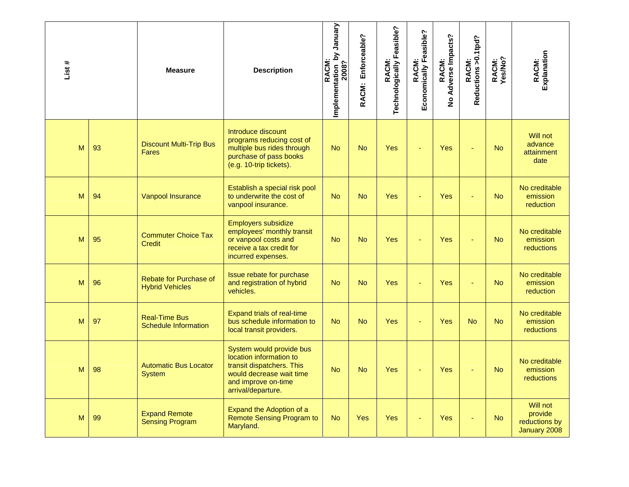| List # |    | <b>Measure</b>                                      | <b>Description</b>                                                                                                                                        | mplementation by January<br>2008?<br><b>RACM</b> | Enforceable?<br>RACM: | RACM:<br>Technologically Feasible? | Economically Feasible?<br><b>RACM:</b> | RACM:<br>No Adverse Impacts? | RACM:<br>Reductions >0.1tpd? | RACM:<br>Yes/No? | Explanation<br>RACM:                                 |
|--------|----|-----------------------------------------------------|-----------------------------------------------------------------------------------------------------------------------------------------------------------|--------------------------------------------------|-----------------------|------------------------------------|----------------------------------------|------------------------------|------------------------------|------------------|------------------------------------------------------|
| M      | 93 | <b>Discount Multi-Trip Bus</b><br><b>Fares</b>      | Introduce discount<br>programs reducing cost of<br>multiple bus rides through<br>purchase of pass books<br>(e.g. 10-trip tickets).                        | <b>No</b>                                        | <b>No</b>             | Yes                                |                                        | Yes                          |                              | <b>No</b>        | Will not<br>advance<br>attainment<br>date            |
| M      | 94 | Vanpool Insurance                                   | Establish a special risk pool<br>to underwrite the cost of<br>vanpool insurance.                                                                          | <b>No</b>                                        | <b>No</b>             | Yes                                | ä,                                     | Yes                          |                              | <b>No</b>        | No creditable<br>emission<br>reduction               |
| M      | 95 | <b>Commuter Choice Tax</b><br><b>Credit</b>         | Employers subsidize<br>employees' monthly transit<br>or vanpool costs and<br>receive a tax credit for<br>incurred expenses.                               | <b>No</b>                                        | <b>No</b>             | <b>Yes</b>                         | ÷                                      | Yes                          |                              | <b>No</b>        | No creditable<br>emission<br><b>reductions</b>       |
| M      | 96 | Rebate for Purchase of<br><b>Hybrid Vehicles</b>    | Issue rebate for purchase<br>and registration of hybrid<br>vehicles.                                                                                      | <b>No</b>                                        | <b>No</b>             | <b>Yes</b>                         |                                        | Yes                          |                              | <b>No</b>        | No creditable<br>emission<br>reduction               |
| M      | 97 | <b>Real-Time Bus</b><br><b>Schedule Information</b> | <b>Expand trials of real-time</b><br>bus schedule information to<br>local transit providers.                                                              | <b>No</b>                                        | <b>No</b>             | <b>Yes</b>                         |                                        | Yes                          | <b>No</b>                    | <b>No</b>        | No creditable<br>emission<br>reductions              |
| M      | 98 | <b>Automatic Bus Locator</b><br>System              | System would provide bus<br>location information to<br>transit dispatchers. This<br>would decrease wait time<br>and improve on-time<br>arrival/departure. | <b>No</b>                                        | <b>No</b>             | Yes                                |                                        | Yes                          |                              | <b>No</b>        | No creditable<br>emission<br>reductions              |
| M      | 99 | <b>Expand Remote</b><br><b>Sensing Program</b>      | <b>Expand the Adoption of a</b><br><b>Remote Sensing Program to</b><br>Maryland.                                                                          | <b>No</b>                                        | Yes                   | Yes                                |                                        | Yes                          |                              | <b>No</b>        | Will not<br>provide<br>reductions by<br>January 2008 |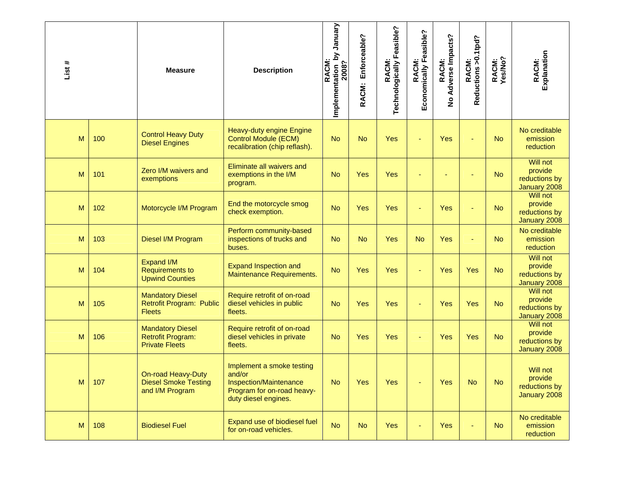| List # |     | <b>Measure</b>                                                               | <b>Description</b>                                                                                                  | Vienual<br>Implementation by<br>2008?<br><b>RACM:</b> | Enforceable?<br>RACM: | Technologically Feasible?<br>RACM: | Economically Feasible?<br><b>RACM:</b> | No Adverse Impacts?<br>RACM: | Reductions > 0.1tpd?<br>RACM: | RACM:<br>Yes/No? | RACM:<br>Explanation                                        |
|--------|-----|------------------------------------------------------------------------------|---------------------------------------------------------------------------------------------------------------------|-------------------------------------------------------|-----------------------|------------------------------------|----------------------------------------|------------------------------|-------------------------------|------------------|-------------------------------------------------------------|
| M      | 100 | <b>Control Heavy Duty</b><br><b>Diesel Engines</b>                           | Heavy-duty engine Engine<br><b>Control Module (ECM)</b><br>recalibration (chip reflash).                            | <b>No</b>                                             | <b>No</b>             | Yes                                | Ξ                                      | Yes                          |                               | <b>No</b>        | No creditable<br>emission<br>reduction                      |
| M      | 101 | Zero I/M waivers and<br>exemptions                                           | Eliminate all waivers and<br>exemptions in the I/M<br>program.                                                      | <b>No</b>                                             | Yes                   | Yes                                |                                        |                              |                               | <b>No</b>        | Will not<br>provide<br>reductions by<br>January 2008        |
| M      | 102 | Motorcycle I/M Program                                                       | End the motorcycle smog<br>check exemption.                                                                         | <b>No</b>                                             | Yes                   | Yes                                | Ξ                                      | Yes                          |                               | <b>No</b>        | <b>Will not</b><br>provide<br>reductions by<br>January 2008 |
| M      | 103 | Diesel I/M Program                                                           | Perform community-based<br>inspections of trucks and<br>buses.                                                      | <b>No</b>                                             | <b>No</b>             | Yes                                | <b>No</b>                              | <b>Yes</b>                   |                               | <b>No</b>        | No creditable<br>emission<br>reduction                      |
| M      | 104 | <b>Expand I/M</b><br><b>Requirements to</b><br><b>Upwind Counties</b>        | <b>Expand Inspection and</b><br>Maintenance Requirements.                                                           | <b>No</b>                                             | Yes                   | Yes                                | ÷                                      | Yes                          | Yes                           | <b>No</b>        | Will not<br>provide<br>reductions by<br>January 2008        |
| M      | 105 | <b>Mandatory Diesel</b><br>Retrofit Program: Public<br><b>Fleets</b>         | Require retrofit of on-road<br>diesel vehicles in public<br>fleets.                                                 | <b>No</b>                                             | Yes                   | Yes                                | ÷                                      | Yes                          | Yes                           | <b>No</b>        | <b>Will not</b><br>provide<br>reductions by<br>January 2008 |
| M      | 106 | <b>Mandatory Diesel</b><br><b>Retrofit Program:</b><br><b>Private Fleets</b> | Require retrofit of on-road<br>diesel vehicles in private<br>fleets.                                                | <b>No</b>                                             | Yes                   | Yes                                |                                        | Yes                          | Yes                           | <b>No</b>        | Will not<br>provide<br>reductions by<br>January 2008        |
| M      | 107 | On-road Heavy-Duty<br><b>Diesel Smoke Testing</b><br>and I/M Program         | Implement a smoke testing<br>and/or<br>Inspection/Maintenance<br>Program for on-road heavy-<br>duty diesel engines. | <b>No</b>                                             | Yes                   | Yes                                | ٠                                      | Yes                          | <b>No</b>                     | <b>No</b>        | Will not<br>provide<br>reductions by<br>January 2008        |
| M      | 108 | <b>Biodiesel Fuel</b>                                                        | Expand use of biodiesel fuel<br>for on-road vehicles.                                                               | <b>No</b>                                             | <b>No</b>             | <b>Yes</b>                         |                                        | <b>Yes</b>                   |                               | <b>No</b>        | No creditable<br>emission<br>reduction                      |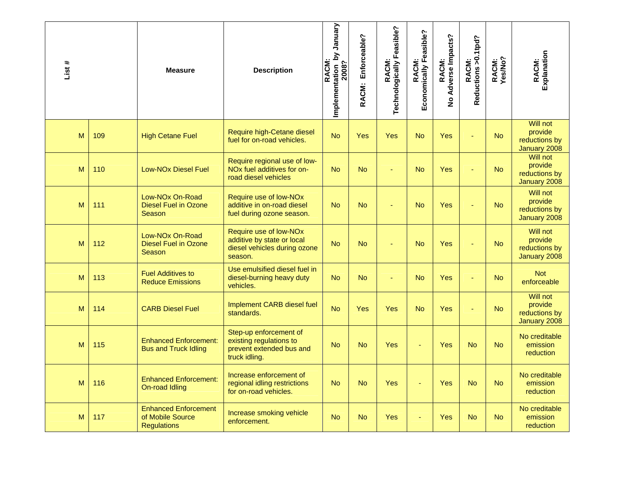| List # |     | <b>Measure</b>                                                        | <b>Description</b>                                                                              | Implementation by January<br>2008?<br>RACM: | Enforceable?<br>RACM: | RACM:<br>Technologically Feasible? | Economically Feasible?<br><b>RACM:</b> | RACM:<br>No Adverse Impacts? | RACM:<br>Reductions >0.1tpd? | RACM:<br>Yes/No? | Explanation<br>RACM:                                 |
|--------|-----|-----------------------------------------------------------------------|-------------------------------------------------------------------------------------------------|---------------------------------------------|-----------------------|------------------------------------|----------------------------------------|------------------------------|------------------------------|------------------|------------------------------------------------------|
| M      | 109 | <b>High Cetane Fuel</b>                                               | Require high-Cetane diesel<br>fuel for on-road vehicles.                                        | <b>No</b>                                   | Yes                   | <b>Yes</b>                         | <b>No</b>                              | Yes                          |                              | <b>No</b>        | Will not<br>provide<br>reductions by<br>January 2008 |
| M      | 110 | <b>Low-NOx Diesel Fuel</b>                                            | Require regional use of low-<br>NOx fuel additives for on-<br>road diesel vehicles              | <b>No</b>                                   | <b>No</b>             |                                    | <b>No</b>                              | Yes                          |                              | <b>No</b>        | Will not<br>provide<br>reductions by<br>January 2008 |
| M      | 111 | Low-NOx On-Road<br><b>Diesel Fuel in Ozone</b><br>Season              | Require use of low-NOx<br>additive in on-road diesel<br>fuel during ozone season.               | <b>No</b>                                   | <b>No</b>             |                                    | <b>No</b>                              | Yes                          |                              | <b>No</b>        | Will not<br>provide<br>reductions by<br>January 2008 |
| M      | 112 | Low-NO <sub>x</sub> On-Road<br><b>Diesel Fuel in Ozone</b><br>Season  | Require use of low-NOx<br>additive by state or local<br>diesel vehicles during ozone<br>season. | <b>No</b>                                   | <b>No</b>             |                                    | <b>No</b>                              | Yes                          |                              | <b>No</b>        | Will not<br>provide<br>reductions by<br>January 2008 |
| M      | 113 | <b>Fuel Additives to</b><br><b>Reduce Emissions</b>                   | Use emulsified diesel fuel in<br>diesel-burning heavy duty<br>vehicles.                         | <b>No</b>                                   | <b>No</b>             | ä,                                 | <b>No</b>                              | Yes                          | ä,                           | <b>No</b>        | <b>Not</b><br>enforceable                            |
| M      | 114 | <b>CARB Diesel Fuel</b>                                               | Implement CARB diesel fuel<br>standards.                                                        | <b>No</b>                                   | Yes                   | <b>Yes</b>                         | <b>No</b>                              | Yes                          | L.                           | <b>No</b>        | Will not<br>provide<br>reductions by<br>January 2008 |
| M      | 115 | <b>Enhanced Enforcement:</b><br><b>Bus and Truck Idling</b>           | Step-up enforcement of<br>existing regulations to<br>prevent extended bus and<br>truck idling.  | <b>No</b>                                   | <b>No</b>             | <b>Yes</b>                         |                                        | Yes                          | <b>No</b>                    | <b>No</b>        | No creditable<br>emission<br>reduction               |
| M      | 116 | <b>Enhanced Enforcement:</b><br>On-road Idling                        | Increase enforcement of<br>regional idling restrictions<br>for on-road vehicles.                | <b>No</b>                                   | <b>No</b>             | <b>Yes</b>                         |                                        | Yes                          | No.                          | <b>No</b>        | No creditable<br>emission<br>reduction               |
| M      | 117 | <b>Enhanced Enforcement</b><br>of Mobile Source<br><b>Regulations</b> | Increase smoking vehicle<br>enforcement.                                                        | <b>No</b>                                   | <b>No</b>             | <b>Yes</b>                         |                                        | Yes                          | <b>No</b>                    | <b>No</b>        | No creditable<br>emission<br>reduction               |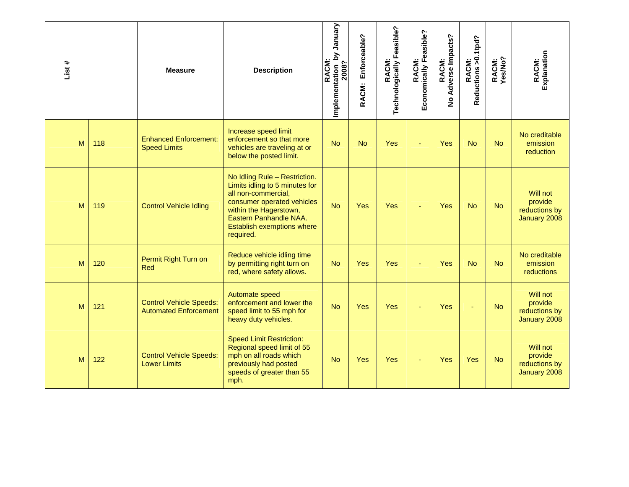| List# |     | <b>Measure</b>                                                 | <b>Description</b>                                                                                                                                                                                                  | Vienual<br>Implementation by<br>2008?<br>RACM: | Enforceable?<br>RACM: | Technologically Feasible?<br>RACM: | Economically Feasible?<br>RACM: | Adverse Impacts?<br>RACM:<br>$\frac{9}{2}$ | RACM:<br>Reductions >0.1tpd? | RACM:<br>Yes/No? | Explanation<br>RACM:                                 |
|-------|-----|----------------------------------------------------------------|---------------------------------------------------------------------------------------------------------------------------------------------------------------------------------------------------------------------|------------------------------------------------|-----------------------|------------------------------------|---------------------------------|--------------------------------------------|------------------------------|------------------|------------------------------------------------------|
| M     | 118 | <b>Enhanced Enforcement:</b><br><b>Speed Limits</b>            | Increase speed limit<br>enforcement so that more<br>vehicles are traveling at or<br>below the posted limit.                                                                                                         | <b>No</b>                                      | <b>No</b>             | Yes                                |                                 | Yes                                        | <b>No</b>                    | <b>No</b>        | No creditable<br>emission<br><b>reduction</b>        |
| M     | 119 | <b>Control Vehicle Idling</b>                                  | No Idling Rule - Restriction.<br>Limits idling to 5 minutes for<br>all non-commercial,<br>consumer operated vehicles<br>within the Hagerstown,<br>Eastern Panhandle NAA.<br>Establish exemptions where<br>required. | <b>No</b>                                      | <b>Yes</b>            | Yes                                |                                 | Yes                                        | <b>No</b>                    | <b>No</b>        | Will not<br>provide<br>reductions by<br>January 2008 |
| M     | 120 | Permit Right Turn on<br>Red                                    | Reduce vehicle idling time<br>by permitting right turn on<br>red, where safety allows.                                                                                                                              | <b>No</b>                                      | Yes                   | Yes                                |                                 | Yes                                        | <b>No</b>                    | <b>No</b>        | No creditable<br>emission<br>reductions              |
| M     | 121 | <b>Control Vehicle Speeds:</b><br><b>Automated Enforcement</b> | Automate speed<br>enforcement and lower the<br>speed limit to 55 mph for<br>heavy duty vehicles.                                                                                                                    | <b>No</b>                                      | <b>Yes</b>            | Yes                                |                                 | Yes                                        |                              | <b>No</b>        | Will not<br>provide<br>reductions by<br>January 2008 |
| M     | 122 | <b>Control Vehicle Speeds:</b><br><b>Lower Limits</b>          | <b>Speed Limit Restriction:</b><br>Regional speed limit of 55<br>mph on all roads which<br>previously had posted<br>speeds of greater than 55<br>mph.                                                               | <b>No</b>                                      | <b>Yes</b>            | <b>Yes</b>                         | ÷                               | Yes                                        | Yes                          | <b>No</b>        | Will not<br>provide<br>reductions by<br>January 2008 |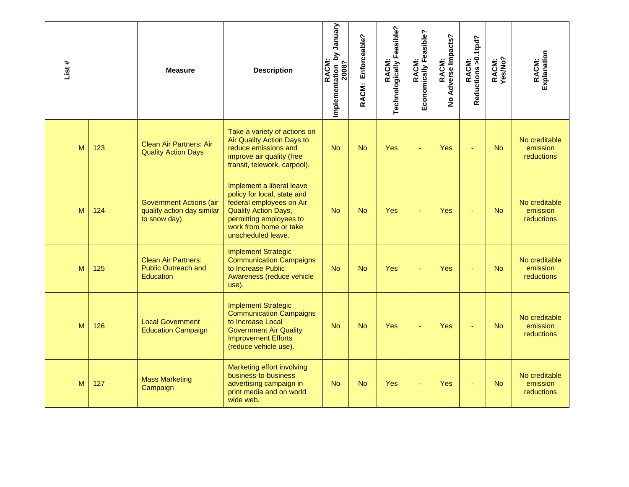| List# |     | <b>Measure</b>                                                               | <b>Description</b>                                                                                                                                                                             | Implementation_by January<br>2008?<br><b>RACM:</b> | Enforceable?<br>RACM: | RACM:<br>Technologically Feasible? | Economically Feasible?<br>RACM: | No Adverse Impacts?<br>RACM: | RACM:<br>Reductions >0.1tpd? | RACM:<br>Yes/No? | Explanation<br>RACM:                           |
|-------|-----|------------------------------------------------------------------------------|------------------------------------------------------------------------------------------------------------------------------------------------------------------------------------------------|----------------------------------------------------|-----------------------|------------------------------------|---------------------------------|------------------------------|------------------------------|------------------|------------------------------------------------|
| M     | 123 | <b>Clean Air Partners: Air</b><br><b>Quality Action Days</b>                 | Take a variety of actions on<br>Air Quality Action Days to<br>reduce emissions and<br>improve air quality (free<br>transit, telework, carpool).                                                | <b>No</b>                                          | <b>No</b>             | Yes                                | ÷                               | Yes                          | ÷                            | <b>No</b>        | No creditable<br>emission<br>reductions        |
| M     | 124 | <b>Government Actions (air</b><br>quality action day similar<br>to snow day) | Implement a liberal leave<br>policy for local, state and<br>federal employees on Air<br><b>Quality Action Days,</b><br>permitting employees to<br>work from home or take<br>unscheduled leave. | <b>No</b>                                          | <b>No</b>             | Yes                                | ä,                              | Yes                          | ÷,                           | <b>No</b>        | No creditable<br>emission<br>reductions        |
| M     | 125 | <b>Clean Air Partners:</b><br><b>Public Outreach and</b><br><b>Education</b> | <b>Implement Strategic</b><br><b>Communication Campaigns</b><br>to Increase Public<br>Awareness (reduce vehicle<br>use).                                                                       | <b>No</b>                                          | <b>No</b>             | Yes                                |                                 | Yes                          |                              | <b>No</b>        | No creditable<br>emission<br><b>reductions</b> |
| M     | 126 | <b>Local Government</b><br><b>Education Campaign</b>                         | <b>Implement Strategic</b><br><b>Communication Campaigns</b><br>to Increase Local<br><b>Government Air Quality</b><br><b>Improvement Efforts</b><br>(reduce vehicle use).                      | <b>No</b>                                          | <b>No</b>             | Yes                                |                                 | Yes                          |                              | <b>No</b>        | No creditable<br>emission<br>reductions        |
| M     | 127 | <b>Mass Marketing</b><br>Campaign                                            | Marketing effort involving<br>business-to-business<br>advertising campaign in<br>print media and on world<br>wide web.                                                                         | <b>No</b>                                          | <b>No</b>             | Yes                                |                                 | Yes                          |                              | <b>No</b>        | No creditable<br>emission<br>reductions        |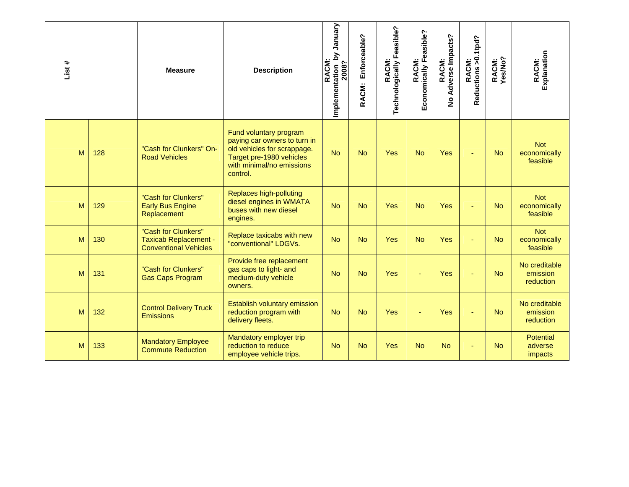| List # |     | <b>Measure</b>                                                                      | <b>Description</b>                                                                                                                                         | January<br>λq<br>RACM:<br>Implementation b<br>2008? | Enforceable?<br>RACM: | RACM:<br>Technologically Feasible? | Economically Feasible?<br><b>RACM:</b> | Adverse Impacts?<br>RACM:<br>$\frac{9}{2}$ | RACM:<br>Reductions >0.1tpd? | RACM:<br>Yes/No? | Explanation<br>RACM:                   |
|--------|-----|-------------------------------------------------------------------------------------|------------------------------------------------------------------------------------------------------------------------------------------------------------|-----------------------------------------------------|-----------------------|------------------------------------|----------------------------------------|--------------------------------------------|------------------------------|------------------|----------------------------------------|
| M      | 128 | "Cash for Clunkers" On-<br><b>Road Vehicles</b>                                     | Fund voluntary program<br>paying car owners to turn in<br>old vehicles for scrappage.<br>Target pre-1980 vehicles<br>with minimal/no emissions<br>control. | <b>No</b>                                           | <b>No</b>             | Yes                                | <b>No</b>                              | Yes                                        |                              | <b>No</b>        | <b>Not</b><br>economically<br>feasible |
| M      | 129 | "Cash for Clunkers"<br><b>Early Bus Engine</b><br>Replacement                       | Replaces high-polluting<br>diesel engines in WMATA<br>buses with new diesel<br>engines.                                                                    | <b>No</b>                                           | <b>No</b>             | Yes                                | <b>No</b>                              | Yes                                        |                              | <b>No</b>        | <b>Not</b><br>economically<br>feasible |
| M      | 130 | "Cash for Clunkers"<br><b>Taxicab Replacement -</b><br><b>Conventional Vehicles</b> | Replace taxicabs with new<br>"conventional" LDGVs.                                                                                                         | <b>No</b>                                           | <b>No</b>             | Yes                                | <b>No</b>                              | Yes                                        |                              | <b>No</b>        | <b>Not</b><br>economically<br>feasible |
| M      | 131 | "Cash for Clunkers"<br><b>Gas Caps Program</b>                                      | Provide free replacement<br>gas caps to light- and<br>medium-duty vehicle<br>owners.                                                                       | <b>No</b>                                           | <b>No</b>             | <b>Yes</b>                         |                                        | <b>Yes</b>                                 |                              | <b>No</b>        | No creditable<br>emission<br>reduction |
| M      | 132 | <b>Control Delivery Truck</b><br><b>Emissions</b>                                   | Establish voluntary emission<br>reduction program with<br>delivery fleets.                                                                                 | <b>No</b>                                           | <b>No</b>             | Yes                                |                                        | Yes                                        |                              | <b>No</b>        | No creditable<br>emission<br>reduction |
| M      | 133 | <b>Mandatory Employee</b><br><b>Commute Reduction</b>                               | Mandatory employer trip<br>reduction to reduce<br>employee vehicle trips.                                                                                  | <b>No</b>                                           | <b>No</b>             | Yes                                | <b>No</b>                              | <b>No</b>                                  |                              | <b>No</b>        | <b>Potential</b><br>adverse<br>impacts |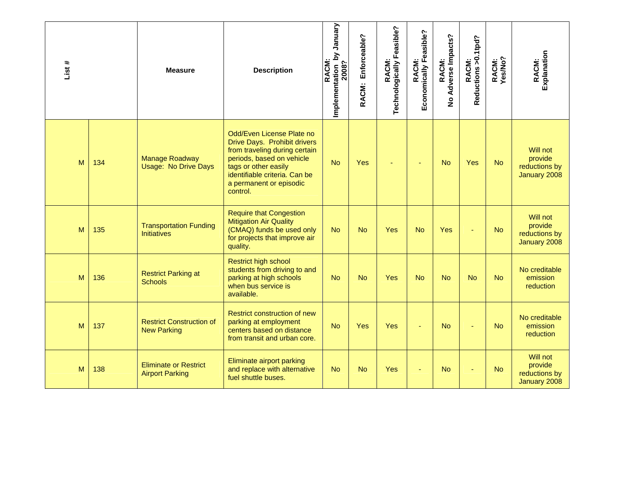| List # |     | <b>Measure</b>                                         | <b>Description</b>                                                                                                                                                                                                      | Implementation_by January<br>2008?<br><b>RACM:</b> | Enforceable?<br>RACM: | RACM:<br>Technologically Feasible? | Economically Feasible?<br>RACM: | Adverse Impacts?<br>RACM:<br>$\frac{9}{2}$ | RACM:<br>Reductions >0.1tpd? | RACM:<br>Yes/No? | Explanation<br>RACM:                                 |
|--------|-----|--------------------------------------------------------|-------------------------------------------------------------------------------------------------------------------------------------------------------------------------------------------------------------------------|----------------------------------------------------|-----------------------|------------------------------------|---------------------------------|--------------------------------------------|------------------------------|------------------|------------------------------------------------------|
| M      | 134 | <b>Manage Roadway</b><br><b>Usage: No Drive Days</b>   | Odd/Even License Plate no<br>Drive Days. Prohibit drivers<br>from traveling during certain<br>periods, based on vehicle<br>tags or other easily<br>identifiable criteria. Can be<br>a permanent or episodic<br>control. | <b>No</b>                                          | Yes                   |                                    | ÷                               | <b>No</b>                                  | Yes                          | <b>No</b>        | Will not<br>provide<br>reductions by<br>January 2008 |
| M      | 135 | <b>Transportation Funding</b><br><b>Initiatives</b>    | <b>Require that Congestion</b><br><b>Mitigation Air Quality</b><br>(CMAQ) funds be used only<br>for projects that improve air<br>quality.                                                                               | <b>No</b>                                          | <b>No</b>             | Yes                                | <b>No</b>                       | Yes                                        |                              | <b>No</b>        | Will not<br>provide<br>reductions by<br>January 2008 |
| M      | 136 | <b>Restrict Parking at</b><br><b>Schools</b>           | <b>Restrict high school</b><br>students from driving to and<br>parking at high schools<br>when bus service is<br>available.                                                                                             | <b>No</b>                                          | <b>No</b>             | Yes                                | <b>No</b>                       | <b>No</b>                                  | <b>No</b>                    | <b>No</b>        | No creditable<br>emission<br>reduction               |
| M      | 137 | <b>Restrict Construction of</b><br><b>New Parking</b>  | <b>Restrict construction of new</b><br>parking at employment<br>centers based on distance<br>from transit and urban core.                                                                                               | <b>No</b>                                          | <b>Yes</b>            | Yes                                |                                 | <b>No</b>                                  |                              | <b>No</b>        | No creditable<br>emission<br><b>reduction</b>        |
| M      | 138 | <b>Eliminate or Restrict</b><br><b>Airport Parking</b> | Eliminate airport parking<br>and replace with alternative<br>fuel shuttle buses.                                                                                                                                        | <b>No</b>                                          | <b>No</b>             | Yes                                | ÷                               | <b>No</b>                                  |                              | <b>No</b>        | Will not<br>provide<br>reductions by<br>January 2008 |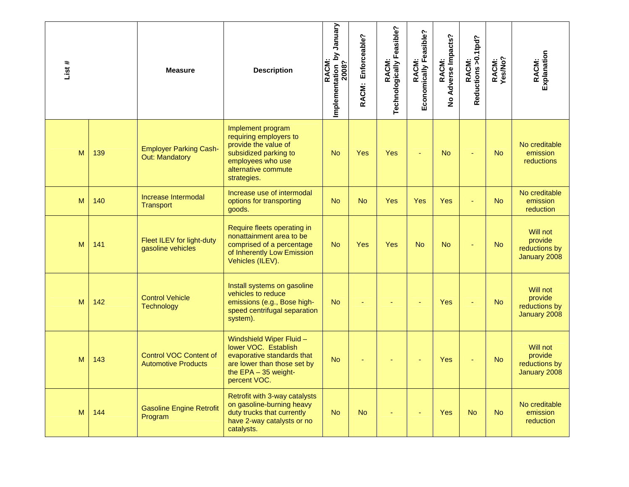| List# |     | <b>Measure</b>                                              | <b>Description</b>                                                                                                                                      | Implementation by January<br>2008?<br><b>RACM</b> | Enforceable?<br>RACM: | RACM:<br>Technologically Feasible? | Economically Feasible?<br>RACM: | RACM:<br>No Adverse Impacts? | Reductions >0.1tpd?<br><b>RACM:</b> | RACM:<br>Yes/No? | RACM:<br>Explanation                                 |
|-------|-----|-------------------------------------------------------------|---------------------------------------------------------------------------------------------------------------------------------------------------------|---------------------------------------------------|-----------------------|------------------------------------|---------------------------------|------------------------------|-------------------------------------|------------------|------------------------------------------------------|
| M     | 139 | <b>Employer Parking Cash-</b><br>Out: Mandatory             | Implement program<br>requiring employers to<br>provide the value of<br>subsidized parking to<br>employees who use<br>alternative commute<br>strategies. | <b>No</b>                                         | Yes                   | Yes                                |                                 | <b>No</b>                    |                                     | <b>No</b>        | No creditable<br>emission<br><b>reductions</b>       |
| M     | 140 | Increase Intermodal<br><b>Transport</b>                     | Increase use of intermodal<br>options for transporting<br>goods.                                                                                        | <b>No</b>                                         | <b>No</b>             | <b>Yes</b>                         | Yes                             | Yes                          | ä,                                  | <b>No</b>        | No creditable<br>emission<br><b>reduction</b>        |
| M     | 141 | Fleet ILEV for light-duty<br>gasoline vehicles              | Require fleets operating in<br>nonattainment area to be<br>comprised of a percentage<br>of Inherently Low Emission<br>Vehicles (ILEV).                  | <b>No</b>                                         | Yes                   | <b>Yes</b>                         | <b>No</b>                       | <b>No</b>                    |                                     | <b>No</b>        | Will not<br>provide<br>reductions by<br>January 2008 |
| M     | 142 | <b>Control Vehicle</b><br><b>Technology</b>                 | Install systems on gasoline<br>vehicles to reduce<br>emissions (e.g., Bose high-<br>speed centrifugal separation<br>system).                            | <b>No</b>                                         |                       |                                    |                                 | Yes                          |                                     | <b>No</b>        | Will not<br>provide<br>reductions by<br>January 2008 |
| M     | 143 | <b>Control VOC Content of</b><br><b>Automotive Products</b> | Windshield Wiper Fluid -<br>lower VOC. Establish<br>evaporative standards that<br>are lower than those set by<br>the EPA - 35 weight-<br>percent VOC.   | <b>No</b>                                         |                       |                                    |                                 | <b>Yes</b>                   |                                     | <b>No</b>        | Will not<br>provide<br>reductions by<br>January 2008 |
| M     | 144 | <b>Gasoline Engine Retrofit</b><br>Program                  | Retrofit with 3-way catalysts<br>on gasoline-burning heavy<br>duty trucks that currently<br>have 2-way catalysts or no<br>catalysts.                    | <b>No</b>                                         | <b>No</b>             |                                    |                                 | Yes                          | <b>No</b>                           | <b>No</b>        | No creditable<br>emission<br>reduction               |